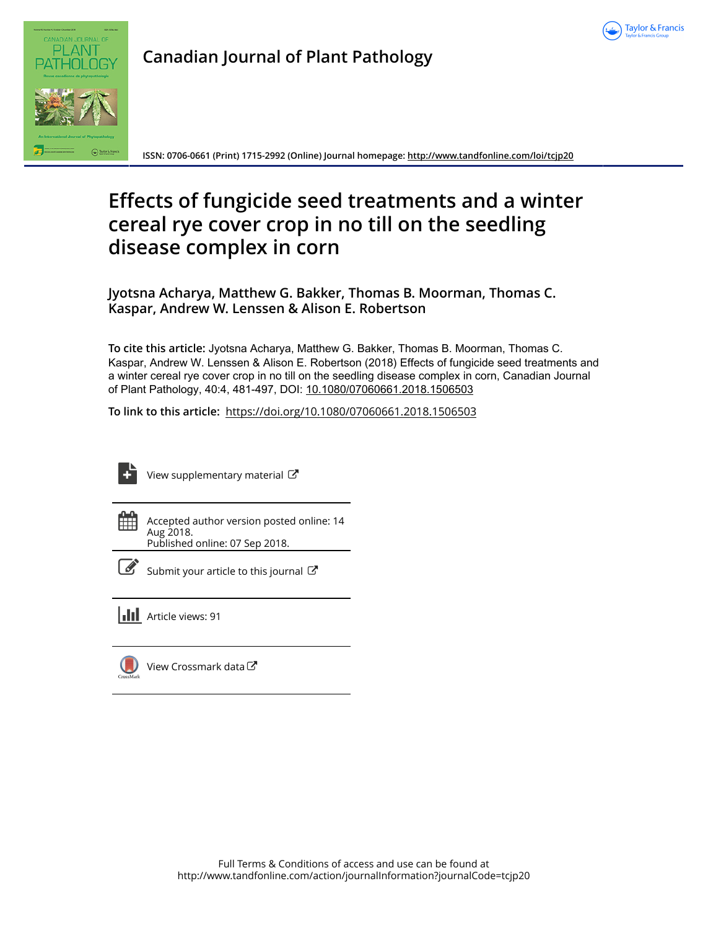



**Canadian Journal of Plant Pathology**

**ISSN: 0706-0661 (Print) 1715-2992 (Online) Journal homepage:<http://www.tandfonline.com/loi/tcjp20>**

# **Effects of fungicide seed treatments and a winter cereal rye cover crop in no till on the seedling disease complex in corn**

**Jyotsna Acharya, Matthew G. Bakker, Thomas B. Moorman, Thomas C. Kaspar, Andrew W. Lenssen & Alison E. Robertson**

**To cite this article:** Jyotsna Acharya, Matthew G. Bakker, Thomas B. Moorman, Thomas C. Kaspar, Andrew W. Lenssen & Alison E. Robertson (2018) Effects of fungicide seed treatments and a winter cereal rye cover crop in no till on the seedling disease complex in corn, Canadian Journal of Plant Pathology, 40:4, 481-497, DOI: [10.1080/07060661.2018.1506503](http://www.tandfonline.com/action/showCitFormats?doi=10.1080/07060661.2018.1506503)

**To link to this article:** <https://doi.org/10.1080/07060661.2018.1506503>



[View supplementary material](http://www.tandfonline.com/doi/suppl/10.1080/07060661.2018.1506503)  $\mathbb{Z}$ 

Accepted author version posted online: 14 Aug 2018.

Published online: 07 Sep 2018.



**Article views: 91** 

[View Crossmark data](http://crossmark.crossref.org/dialog/?doi=10.1080/07060661.2018.1506503&domain=pdf&date_stamp=2018-08-14) $\mathbb{C}$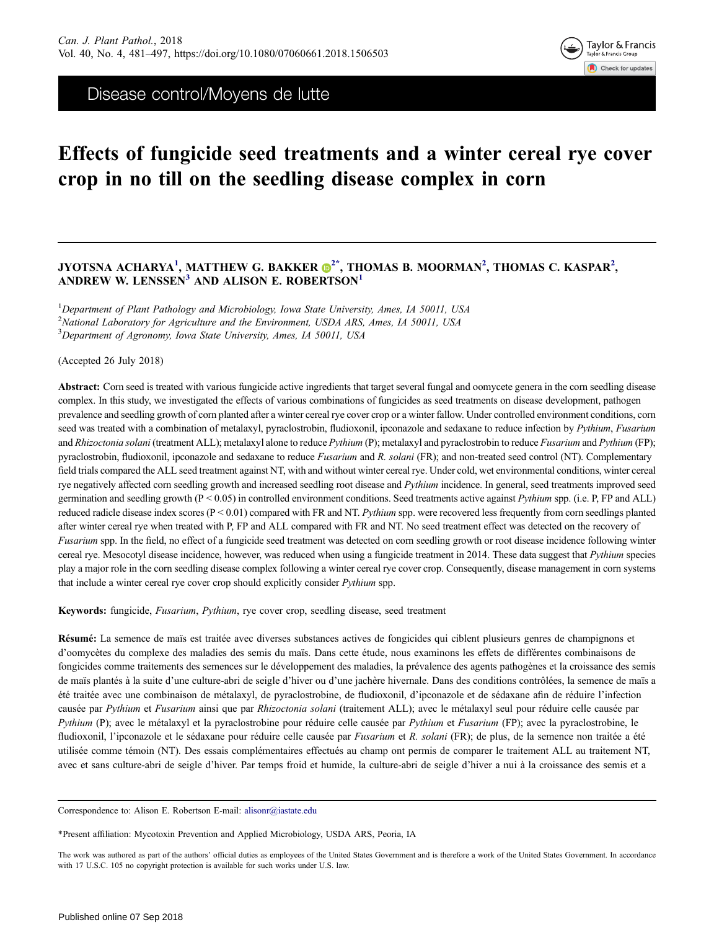

Disease control/Moyens de lutte

# Effects of fungicide seed treatments and a winter cereal rye cover crop in no till on the seedling disease complex in corn

# JYOTSNA ACHARYA<sup>1</sup>, MATTHEW G. BAKKER  $\bm{\Theta}^{2^*},$  $\bm{\Theta}^{2^*},$  $\bm{\Theta}^{2^*},$  THOMAS B. MOORMAN $^2,$  THOMAS C. KASPAR $^2,$ ANDREW W. LENSSEN<sup>3</sup> AND ALISON E. ROBERTSON<sup>1</sup>

<sup>1</sup>Department of Plant Pathology and Microbiology, Iowa State University, Ames, IA 50011, USA <sup>2</sup>National Laboratory for Agriculture and the Environment, USDA ARS, Ames, IA 50011, USA <sup>3</sup>Department of Agronomy, Iowa State University, Ames, IA 50011, USA

(Accepted 26 July 2018)

Abstract: Corn seed is treated with various fungicide active ingredients that target several fungal and oomycete genera in the corn seedling disease complex. In this study, we investigated the effects of various combinations of fungicides as seed treatments on disease development, pathogen prevalence and seedling growth of corn planted after a winter cereal rye cover crop or a winter fallow. Under controlled environment conditions, corn seed was treated with a combination of metalaxyl, pyraclostrobin, fludioxonil, ipconazole and sedaxane to reduce infection by Pythium, Fusarium and Rhizoctonia solani (treatment ALL); metalaxyl alone to reduce Pythium (P); metalaxyl and pyraclostrobin to reduce Fusarium and Pythium (FP); pyraclostrobin, fludioxonil, ipconazole and sedaxane to reduce Fusarium and R. solani (FR); and non-treated seed control (NT). Complementary field trials compared the ALL seed treatment against NT, with and without winter cereal rye. Under cold, wet environmental conditions, winter cereal rye negatively affected corn seedling growth and increased seedling root disease and Pythium incidence. In general, seed treatments improved seed germination and seedling growth  $(P < 0.05)$  in controlled environment conditions. Seed treatments active against *Pythium* spp. (i.e. P, FP and ALL) reduced radicle disease index scores (P < 0.01) compared with FR and NT. Pythium spp. were recovered less frequently from corn seedlings planted after winter cereal rye when treated with P, FP and ALL compared with FR and NT. No seed treatment effect was detected on the recovery of Fusarium spp. In the field, no effect of a fungicide seed treatment was detected on corn seedling growth or root disease incidence following winter cereal rye. Mesocotyl disease incidence, however, was reduced when using a fungicide treatment in 2014. These data suggest that Pythium species play a major role in the corn seedling disease complex following a winter cereal rye cover crop. Consequently, disease management in corn systems that include a winter cereal rye cover crop should explicitly consider Pythium spp.

Keywords: fungicide, Fusarium, Pythium, rye cover crop, seedling disease, seed treatment

Résumé: La semence de maïs est traitée avec diverses substances actives de fongicides qui ciblent plusieurs genres de champignons et d'oomycètes du complexe des maladies des semis du maïs. Dans cette étude, nous examinons les effets de différentes combinaisons de fongicides comme traitements des semences sur le développement des maladies, la prévalence des agents pathogènes et la croissance des semis de maïs plantés à la suite d'une culture-abri de seigle d'hiver ou d'une jachère hivernale. Dans des conditions contrôlées, la semence de maïs a été traitée avec une combinaison de métalaxyl, de pyraclostrobine, de fludioxonil, d'ipconazole et de sédaxane afin de réduire l'infection causée par Pythium et Fusarium ainsi que par Rhizoctonia solani (traitement ALL); avec le métalaxyl seul pour réduire celle causée par Pythium (P); avec le métalaxyl et la pyraclostrobine pour réduire celle causée par Pythium et Fusarium (FP); avec la pyraclostrobine, le fludioxonil, l'ipconazole et le sédaxane pour réduire celle causée par Fusarium et R. solani (FR); de plus, de la semence non traitée a été utilisée comme témoin (NT). Des essais complémentaires effectués au champ ont permis de comparer le traitement ALL au traitement NT, avec et sans culture-abri de seigle d'hiver. Par temps froid et humide, la culture-abri de seigle d'hiver a nui à la croissance des semis et a

Correspondence to: Alison E. Robertson E-mail: alisonr@iastate.edu

\*Present affiliation: Mycotoxin Prevention and Applied Microbiology, USDA ARS, Peoria, IA

The work was authored as part of the authors' official duties as employees of the United States Government and is therefore a work of the United States Government. In accordance with 17 U.S.C. 105 no copyright protection is available for such works under U.S. law.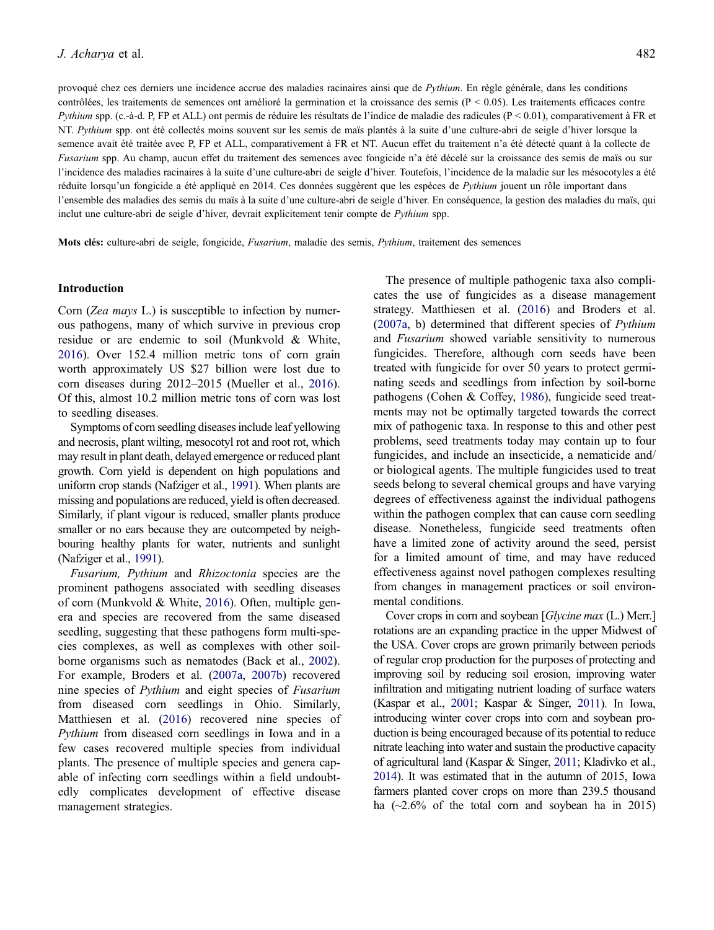provoqué chez ces derniers une incidence accrue des maladies racinaires ainsi que de Pythium. En règle générale, dans les conditions contrôlées, les traitements de semences ont amélioré la germination et la croissance des semis  $(P < 0.05)$ . Les traitements efficaces contre Pythium spp. (c.-à-d. P, FP et ALL) ont permis de réduire les résultats de l'indice de maladie des radicules ( $P < 0.01$ ), comparativement à FR et NT. Pythium spp. ont été collectés moins souvent sur les semis de maïs plantés à la suite d'une culture-abri de seigle d'hiver lorsque la semence avait été traitée avec P, FP et ALL, comparativement à FR et NT. Aucun effet du traitement n'a été détecté quant à la collecte de Fusarium spp. Au champ, aucun effet du traitement des semences avec fongicide n'a été décelé sur la croissance des semis de maïs ou sur l'incidence des maladies racinaires à la suite d'une culture-abri de seigle d'hiver. Toutefois, l'incidence de la maladie sur les mésocotyles a été réduite lorsqu'un fongicide a été appliqué en 2014. Ces données suggèrent que les espèces de Pythium jouent un rôle important dans l'ensemble des maladies des semis du maïs à la suite d'une culture-abri de seigle d'hiver. En conséquence, la gestion des maladies du maïs, qui inclut une culture-abri de seigle d'hiver, devrait explicitement tenir compte de Pythium spp.

Mots clés: culture-abri de seigle, fongicide, Fusarium, maladie des semis, Pythium, traitement des semences

# Introduction

Corn (Zea mays L.) is susceptible to infection by numerous pathogens, many of which survive in previous crop residue or are endemic to soil (Munkvold & White, [2016\)](#page-16-0). Over 152.4 million metric tons of corn grain worth approximately US \$27 billion were lost due to corn diseases during 2012–2015 (Mueller et al., [2016\)](#page-16-0). Of this, almost 10.2 million metric tons of corn was lost to seedling diseases.

Symptoms of corn seedling diseases include leaf yellowing and necrosis, plant wilting, mesocotyl rot and root rot, which may result in plant death, delayed emergence or reduced plant growth. Corn yield is dependent on high populations and uniform crop stands (Nafziger et al., [1991\)](#page-16-0). When plants are missing and populations are reduced, yield is often decreased. Similarly, if plant vigour is reduced, smaller plants produce smaller or no ears because they are outcompeted by neighbouring healthy plants for water, nutrients and sunlight (Nafziger et al., [1991](#page-16-0)).

Fusarium, Pythium and Rhizoctonia species are the prominent pathogens associated with seedling diseases of corn (Munkvold & White, [2016](#page-16-0)). Often, multiple genera and species are recovered from the same diseased seedling, suggesting that these pathogens form multi-species complexes, as well as complexes with other soilborne organisms such as nematodes (Back et al., [2002\)](#page-16-0). For example, Broders et al. ([2007a](#page-16-0), [2007b](#page-16-0)) recovered nine species of Pythium and eight species of Fusarium from diseased corn seedlings in Ohio. Similarly, Matthiesen et al. [\(2016\)](#page-16-0) recovered nine species of Pythium from diseased corn seedlings in Iowa and in a few cases recovered multiple species from individual plants. The presence of multiple species and genera capable of infecting corn seedlings within a field undoubtedly complicates development of effective disease management strategies.

The presence of multiple pathogenic taxa also complicates the use of fungicides as a disease management strategy. Matthiesen et al. [\(2016](#page-16-0)) and Broders et al. [\(2007a,](#page-16-0) b) determined that different species of Pythium and Fusarium showed variable sensitivity to numerous fungicides. Therefore, although corn seeds have been treated with fungicide for over 50 years to protect germinating seeds and seedlings from infection by soil-borne pathogens (Cohen & Coffey, [1986\)](#page-16-0), fungicide seed treatments may not be optimally targeted towards the correct mix of pathogenic taxa. In response to this and other pest problems, seed treatments today may contain up to four fungicides, and include an insecticide, a nematicide and/ or biological agents. The multiple fungicides used to treat seeds belong to several chemical groups and have varying degrees of effectiveness against the individual pathogens within the pathogen complex that can cause corn seedling disease. Nonetheless, fungicide seed treatments often have a limited zone of activity around the seed, persist for a limited amount of time, and may have reduced effectiveness against novel pathogen complexes resulting from changes in management practices or soil environmental conditions.

Cover crops in corn and soybean [Glycine max (L.) Merr.] rotations are an expanding practice in the upper Midwest of the USA. Cover crops are grown primarily between periods of regular crop production for the purposes of protecting and improving soil by reducing soil erosion, improving water infiltration and mitigating nutrient loading of surface waters (Kaspar et al., [2001](#page-16-0); Kaspar & Singer, [2011\)](#page-16-0). In Iowa, introducing winter cover crops into corn and soybean production is being encouraged because of its potential to reduce nitrate leaching into water and sustain the productive capacity of agricultural land (Kaspar & Singer, [2011;](#page-16-0) Kladivko et al., [2014\)](#page-16-0). It was estimated that in the autumn of 2015, Iowa farmers planted cover crops on more than 239.5 thousand ha  $(\sim 2.6\%$  of the total corn and soybean ha in 2015)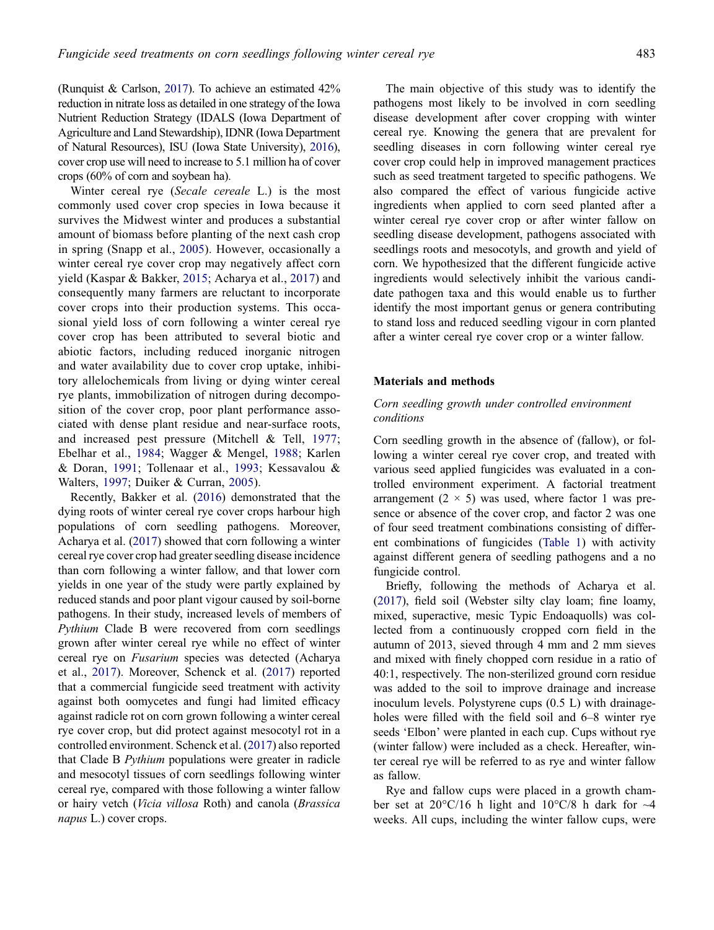(Runquist & Carlson, [2017\)](#page-16-0). To achieve an estimated 42% reduction in nitrate loss as detailed in one strategy of the Iowa Nutrient Reduction Strategy (IDALS (Iowa Department of Agriculture and Land Stewardship), IDNR (Iowa Department of Natural Resources), ISU (Iowa State University), [2016\)](#page-16-0), cover crop use will need to increase to 5.1 million ha of cover crops (60% of corn and soybean ha).

Winter cereal rye (Secale cereale L.) is the most commonly used cover crop species in Iowa because it survives the Midwest winter and produces a substantial amount of biomass before planting of the next cash crop in spring (Snapp et al., [2005\)](#page-17-0). However, occasionally a winter cereal rye cover crop may negatively affect corn yield (Kaspar & Bakker, [2015;](#page-16-0) Acharya et al., [2017](#page-16-0)) and consequently many farmers are reluctant to incorporate cover crops into their production systems. This occasional yield loss of corn following a winter cereal rye cover crop has been attributed to several biotic and abiotic factors, including reduced inorganic nitrogen and water availability due to cover crop uptake, inhibitory allelochemicals from living or dying winter cereal rye plants, immobilization of nitrogen during decomposition of the cover crop, poor plant performance associated with dense plant residue and near-surface roots, and increased pest pressure (Mitchell & Tell, [1977;](#page-16-0) Ebelhar et al., [1984](#page-16-0); Wagger & Mengel, [1988;](#page-17-0) Karlen & Doran, [1991;](#page-16-0) Tollenaar et al., [1993](#page-17-0); Kessavalou & Walters, [1997](#page-16-0); Duiker & Curran, [2005\)](#page-16-0).

Recently, Bakker et al. [\(2016](#page-16-0)) demonstrated that the dying roots of winter cereal rye cover crops harbour high populations of corn seedling pathogens. Moreover, Acharya et al. [\(2017](#page-16-0)) showed that corn following a winter cereal rye cover crop had greater seedling disease incidence than corn following a winter fallow, and that lower corn yields in one year of the study were partly explained by reduced stands and poor plant vigour caused by soil-borne pathogens. In their study, increased levels of members of Pythium Clade B were recovered from corn seedlings grown after winter cereal rye while no effect of winter cereal rye on Fusarium species was detected (Acharya et al., [2017\)](#page-16-0). Moreover, Schenck et al. [\(2017](#page-17-0)) reported that a commercial fungicide seed treatment with activity against both oomycetes and fungi had limited efficacy against radicle rot on corn grown following a winter cereal rye cover crop, but did protect against mesocotyl rot in a controlled environment. Schenck et al. ([2017](#page-17-0)) also reported that Clade B Pythium populations were greater in radicle and mesocotyl tissues of corn seedlings following winter cereal rye, compared with those following a winter fallow or hairy vetch (Vicia villosa Roth) and canola (Brassica napus L.) cover crops.

The main objective of this study was to identify the pathogens most likely to be involved in corn seedling disease development after cover cropping with winter cereal rye. Knowing the genera that are prevalent for seedling diseases in corn following winter cereal rye cover crop could help in improved management practices such as seed treatment targeted to specific pathogens. We also compared the effect of various fungicide active ingredients when applied to corn seed planted after a winter cereal rye cover crop or after winter fallow on seedling disease development, pathogens associated with seedlings roots and mesocotyls, and growth and yield of corn. We hypothesized that the different fungicide active ingredients would selectively inhibit the various candidate pathogen taxa and this would enable us to further identify the most important genus or genera contributing to stand loss and reduced seedling vigour in corn planted after a winter cereal rye cover crop or a winter fallow.

# Materials and methods

# Corn seedling growth under controlled environment conditions

Corn seedling growth in the absence of (fallow), or following a winter cereal rye cover crop, and treated with various seed applied fungicides was evaluated in a controlled environment experiment. A factorial treatment arrangement  $(2 \times 5)$  was used, where factor 1 was presence or absence of the cover crop, and factor 2 was one of four seed treatment combinations consisting of different combinations of fungicides [\(Table 1\)](#page-4-0) with activity against different genera of seedling pathogens and a no fungicide control.

Briefly, following the methods of Acharya et al. [\(2017](#page-16-0)), field soil (Webster silty clay loam; fine loamy, mixed, superactive, mesic Typic Endoaquolls) was collected from a continuously cropped corn field in the autumn of 2013, sieved through 4 mm and 2 mm sieves and mixed with finely chopped corn residue in a ratio of 40:1, respectively. The non-sterilized ground corn residue was added to the soil to improve drainage and increase inoculum levels. Polystyrene cups (0.5 L) with drainageholes were filled with the field soil and 6–8 winter rye seeds 'Elbon' were planted in each cup. Cups without rye (winter fallow) were included as a check. Hereafter, winter cereal rye will be referred to as rye and winter fallow as fallow.

Rye and fallow cups were placed in a growth chamber set at  $20^{\circ}$ C/16 h light and  $10^{\circ}$ C/8 h dark for  $\sim$ 4 weeks. All cups, including the winter fallow cups, were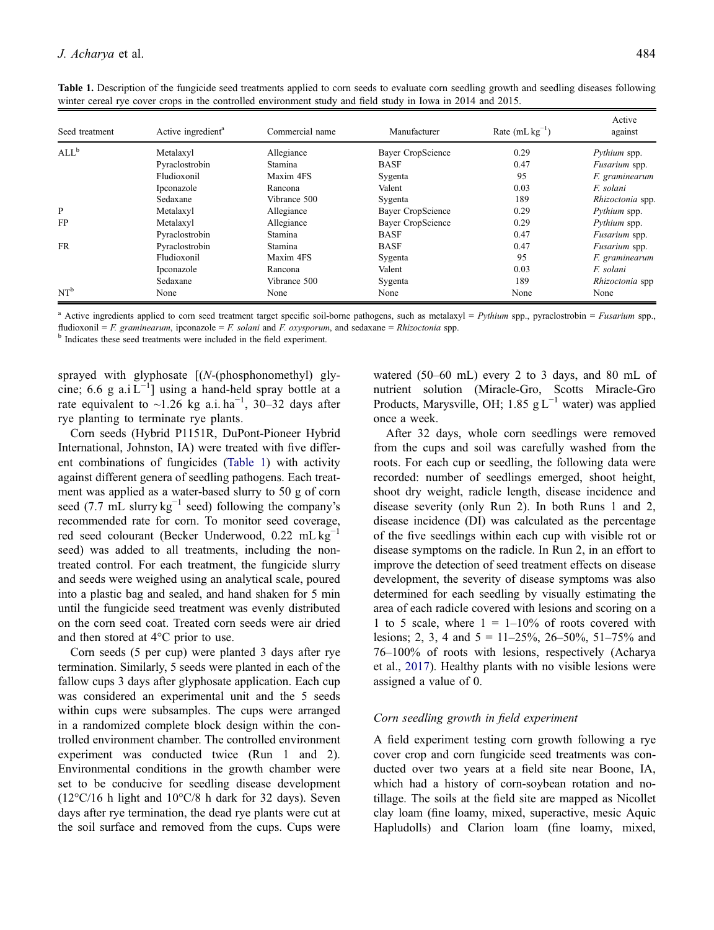| Seed treatment   | Active ingredient <sup>a</sup> | Commercial name | Manufacturer      | Rate $(mL kg^{-1})$ | Active<br>against |
|------------------|--------------------------------|-----------------|-------------------|---------------------|-------------------|
| ALL <sup>b</sup> | Metalaxyl                      | Allegiance      | Bayer CropScience | 0.29                | Pythium spp.      |
|                  | Pyraclostrobin                 | Stamina         | <b>BASF</b>       | 0.47                | Fusarium spp.     |
|                  | Fludioxonil                    | Maxim 4FS       | Sygenta           | 95                  | F. graminearum    |
|                  | Ipconazole                     | Rancona         | Valent            | 0.03                | F. solani         |
|                  | Sedaxane                       | Vibrance 500    | Sygenta           | 189                 | Rhizoctonia spp.  |
| P                | Metalaxyl                      | Allegiance      | Bayer CropScience | 0.29                | Pythium spp.      |
| FP               | Metalaxyl                      | Allegiance      | Bayer CropScience | 0.29                | Pythium spp.      |
|                  | Pyraclostrobin                 | <b>Stamina</b>  | <b>BASF</b>       | 0.47                | Fusarium spp.     |
| <b>FR</b>        | Pyraclostrobin                 | Stamina         | <b>BASF</b>       | 0.47                | Fusarium spp.     |
|                  | Fludioxonil                    | Maxim 4FS       | Sygenta           | 95                  | F. graminearum    |
|                  | Ipconazole                     | Rancona         | Valent            | 0.03                | F. solani         |
|                  | Sedaxane                       | Vibrance 500    | Sygenta           | 189                 | Rhizoctonia spp   |
| $NT^b$           | None                           | None            | None              | None                | None              |

<span id="page-4-0"></span>Table 1. Description of the fungicide seed treatments applied to corn seeds to evaluate corn seedling growth and seedling diseases following winter cereal rye cover crops in the controlled environment study and field study in Iowa in 2014 and 2015.

Active ingredients applied to corn seed treatment target specific soil-borne pathogens, such as metalaxyl = Pythium spp., pyraclostrobin = Fusarium spp., fludioxonil = F. graminearum, ipconazole = F. solani and F. oxysporum, and sedaxane = Rhizoctonia spp.  $\frac{b}{b}$  Indicates these seed treatments were included in the field experiment.

sprayed with glyphosate  $[(N-(phosphonometry1)$  glycine; 6.6 g a.i  $L^{-1}$ ] using a hand-held spray bottle at a rate equivalent to ~1.26 kg a.i. ha<sup>-1</sup>, 30–32 days after rye planting to terminate rye plants.

Corn seeds (Hybrid P1151R, DuPont-Pioneer Hybrid International, Johnston, IA) were treated with five different combinations of fungicides (Table 1) with activity against different genera of seedling pathogens. Each treatment was applied as a water-based slurry to 50 g of corn seed (7.7 mL slurry  $kg^{-1}$  seed) following the company's recommended rate for corn. To monitor seed coverage, red seed colourant (Becker Underwood,  $0.22 \text{ mL kg}^{-1}$ seed) was added to all treatments, including the nontreated control. For each treatment, the fungicide slurry and seeds were weighed using an analytical scale, poured into a plastic bag and sealed, and hand shaken for 5 min until the fungicide seed treatment was evenly distributed on the corn seed coat. Treated corn seeds were air dried and then stored at 4°C prior to use.

Corn seeds (5 per cup) were planted 3 days after rye termination. Similarly, 5 seeds were planted in each of the fallow cups 3 days after glyphosate application. Each cup was considered an experimental unit and the 5 seeds within cups were subsamples. The cups were arranged in a randomized complete block design within the controlled environment chamber. The controlled environment experiment was conducted twice (Run 1 and 2). Environmental conditions in the growth chamber were set to be conducive for seedling disease development (12°C/16 h light and 10°C/8 h dark for 32 days). Seven days after rye termination, the dead rye plants were cut at the soil surface and removed from the cups. Cups were watered (50–60 mL) every 2 to 3 days, and 80 mL of nutrient solution (Miracle-Gro, Scotts Miracle-Gro Products, Marysville, OH; 1.85 g L<sup>-1</sup> water) was applied once a week.

After 32 days, whole corn seedlings were removed from the cups and soil was carefully washed from the roots. For each cup or seedling, the following data were recorded: number of seedlings emerged, shoot height, shoot dry weight, radicle length, disease incidence and disease severity (only Run 2). In both Runs 1 and 2, disease incidence (DI) was calculated as the percentage of the five seedlings within each cup with visible rot or disease symptoms on the radicle. In Run 2, in an effort to improve the detection of seed treatment effects on disease development, the severity of disease symptoms was also determined for each seedling by visually estimating the area of each radicle covered with lesions and scoring on a 1 to 5 scale, where  $1 = 1 - 10\%$  of roots covered with lesions; 2, 3, 4 and  $5 = 11 - 25\%$ , 26–50%, 51–75% and 76–100% of roots with lesions, respectively (Acharya et al., [2017\)](#page-16-0). Healthy plants with no visible lesions were assigned a value of 0.

# Corn seedling growth in field experiment

A field experiment testing corn growth following a rye cover crop and corn fungicide seed treatments was conducted over two years at a field site near Boone, IA, which had a history of corn-soybean rotation and notillage. The soils at the field site are mapped as Nicollet clay loam (fine loamy, mixed, superactive, mesic Aquic Hapludolls) and Clarion loam (fine loamy, mixed,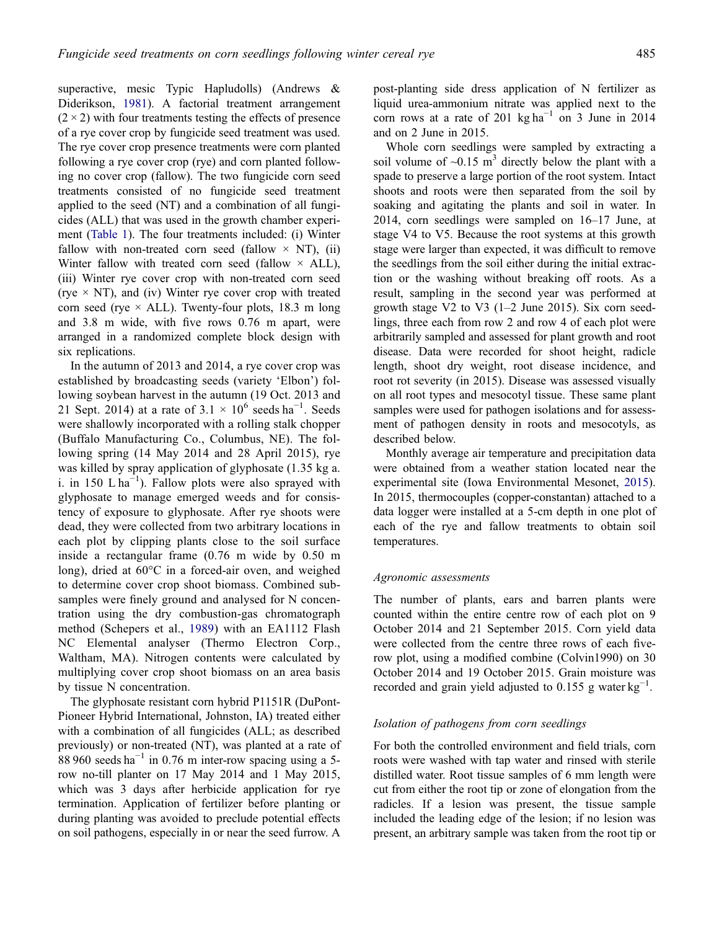superactive, mesic Typic Hapludolls) (Andrews & Diderikson, [1981\)](#page-16-0). A factorial treatment arrangement  $(2 \times 2)$  with four treatments testing the effects of presence of a rye cover crop by fungicide seed treatment was used. The rye cover crop presence treatments were corn planted following a rye cover crop (rye) and corn planted following no cover crop (fallow). The two fungicide corn seed treatments consisted of no fungicide seed treatment applied to the seed (NT) and a combination of all fungicides (ALL) that was used in the growth chamber experiment [\(Table 1](#page-4-0)). The four treatments included: (i) Winter fallow with non-treated corn seed (fallow  $\times$  NT), (ii) Winter fallow with treated corn seed (fallow  $\times$  ALL), (iii) Winter rye cover crop with non-treated corn seed (rye  $\times$  NT), and (iv) Winter rye cover crop with treated corn seed (rye  $\times$  ALL). Twenty-four plots, 18.3 m long and 3.8 m wide, with five rows 0.76 m apart, were arranged in a randomized complete block design with six replications.

In the autumn of 2013 and 2014, a rye cover crop was established by broadcasting seeds (variety 'Elbon') following soybean harvest in the autumn (19 Oct. 2013 and 21 Sept. 2014) at a rate of  $3.1 \times 10^6$  seeds ha<sup>-1</sup>. Seeds were shallowly incorporated with a rolling stalk chopper (Buffalo Manufacturing Co., Columbus, NE). The following spring (14 May 2014 and 28 April 2015), rye was killed by spray application of glyphosate (1.35 kg a. i. in 150 L  $ha^{-1}$ ). Fallow plots were also sprayed with glyphosate to manage emerged weeds and for consistency of exposure to glyphosate. After rye shoots were dead, they were collected from two arbitrary locations in each plot by clipping plants close to the soil surface inside a rectangular frame (0.76 m wide by 0.50 m long), dried at 60°C in a forced-air oven, and weighed to determine cover crop shoot biomass. Combined subsamples were finely ground and analysed for N concentration using the dry combustion-gas chromatograph method (Schepers et al., [1989\)](#page-17-0) with an EA1112 Flash NC Elemental analyser (Thermo Electron Corp., Waltham, MA). Nitrogen contents were calculated by multiplying cover crop shoot biomass on an area basis by tissue N concentration.

The glyphosate resistant corn hybrid P1151R (DuPont-Pioneer Hybrid International, Johnston, IA) treated either with a combination of all fungicides (ALL; as described previously) or non-treated (NT), was planted at a rate of 88 960 seeds ha<sup> $-1$ </sup> in 0.76 m inter-row spacing using a 5row no-till planter on 17 May 2014 and 1 May 2015, which was 3 days after herbicide application for rye termination. Application of fertilizer before planting or during planting was avoided to preclude potential effects on soil pathogens, especially in or near the seed furrow. A

post-planting side dress application of N fertilizer as liquid urea-ammonium nitrate was applied next to the corn rows at a rate of 201 kg ha<sup>-1</sup> on 3 June in 2014 and on 2 June in 2015.

Whole corn seedlings were sampled by extracting a soil volume of  $\sim 0.15$  m<sup>3</sup> directly below the plant with a spade to preserve a large portion of the root system. Intact shoots and roots were then separated from the soil by soaking and agitating the plants and soil in water. In 2014, corn seedlings were sampled on 16–17 June, at stage V4 to V5. Because the root systems at this growth stage were larger than expected, it was difficult to remove the seedlings from the soil either during the initial extraction or the washing without breaking off roots. As a result, sampling in the second year was performed at growth stage V2 to V3  $(1-2 \text{ June } 2015)$ . Six corn seedlings, three each from row 2 and row 4 of each plot were arbitrarily sampled and assessed for plant growth and root disease. Data were recorded for shoot height, radicle length, shoot dry weight, root disease incidence, and root rot severity (in 2015). Disease was assessed visually on all root types and mesocotyl tissue. These same plant samples were used for pathogen isolations and for assessment of pathogen density in roots and mesocotyls, as described below.

Monthly average air temperature and precipitation data were obtained from a weather station located near the experimental site (Iowa Environmental Mesonet, [2015\)](#page-16-0). In 2015, thermocouples (copper-constantan) attached to a data logger were installed at a 5-cm depth in one plot of each of the rye and fallow treatments to obtain soil temperatures.

#### Agronomic assessments

The number of plants, ears and barren plants were counted within the entire centre row of each plot on 9 October 2014 and 21 September 2015. Corn yield data were collected from the centre three rows of each fiverow plot, using a modified combine (Colvin1990) on 30 October 2014 and 19 October 2015. Grain moisture was recorded and grain yield adjusted to  $0.155$  g water kg<sup>-1</sup>.

### Isolation of pathogens from corn seedlings

For both the controlled environment and field trials, corn roots were washed with tap water and rinsed with sterile distilled water. Root tissue samples of 6 mm length were cut from either the root tip or zone of elongation from the radicles. If a lesion was present, the tissue sample included the leading edge of the lesion; if no lesion was present, an arbitrary sample was taken from the root tip or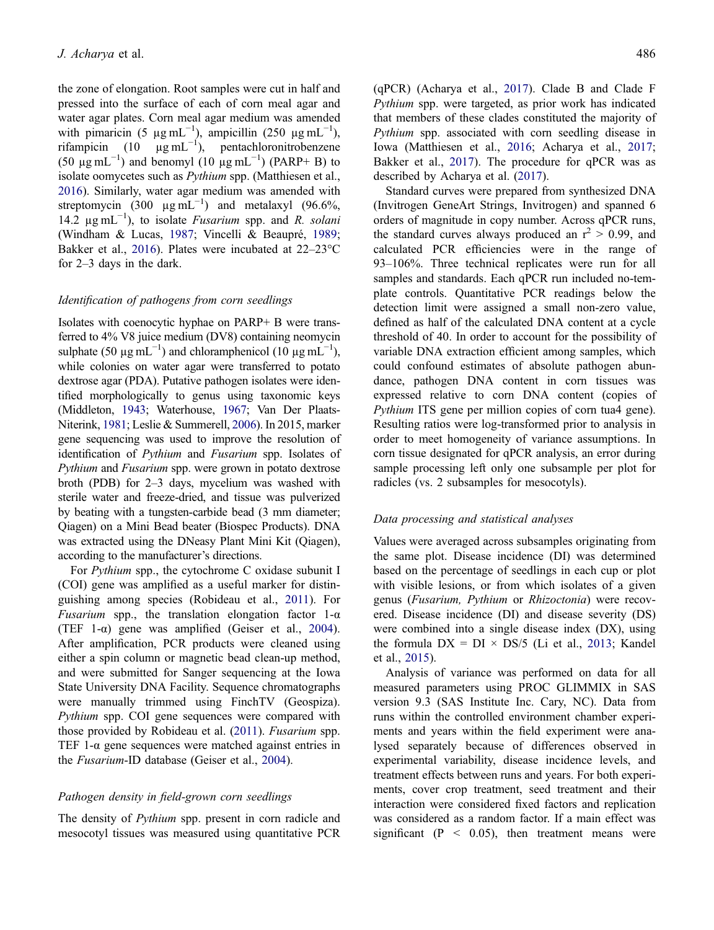the zone of elongation. Root samples were cut in half and pressed into the surface of each of corn meal agar and water agar plates. Corn meal agar medium was amended with pimaricin (5  $\mu$ g mL<sup>-1</sup>), ampicillin (250  $\mu$ g mL<sup>-1</sup>), rifampicin (10  $\mu$ g mL<sup>-1</sup>), pentachloronitrobenzene  $(50 \text{ µg} \text{ mL}^{-1})$  and benomyl  $(10 \text{ µg} \text{ mL}^{-1})$  (PARP+ B) to isolate oomycetes such as Pythium spp. (Matthiesen et al., [2016\)](#page-16-0). Similarly, water agar medium was amended with streptomycin  $(300 \mu g mL^{-1})$  and metalaxyl  $(96.6\%,$ 14.2  $\mu$ g mL<sup>-1</sup>), to isolate *Fusarium* spp. and *R. solani* (Windham & Lucas, [1987](#page-17-0); Vincelli & Beaupré, [1989;](#page-17-0) Bakker et al., [2016](#page-16-0)). Plates were incubated at 22–23°C for 2–3 days in the dark.

#### Identification of pathogens from corn seedlings

Isolates with coenocytic hyphae on PARP+ B were transferred to 4% V8 juice medium (DV8) containing neomycin sulphate (50  $\mu$ g mL<sup>-1</sup>) and chloramphenicol (10  $\mu$ g mL<sup>-1</sup>), while colonies on water agar were transferred to potato dextrose agar (PDA). Putative pathogen isolates were identified morphologically to genus using taxonomic keys (Middleton, [1943](#page-16-0); Waterhouse, [1967](#page-17-0); Van Der Plaats-Niterink, [1981](#page-17-0); Leslie & Summerell, [2006\)](#page-16-0). In 2015, marker gene sequencing was used to improve the resolution of identification of Pythium and Fusarium spp. Isolates of Pythium and Fusarium spp. were grown in potato dextrose broth (PDB) for 2–3 days, mycelium was washed with sterile water and freeze-dried, and tissue was pulverized by beating with a tungsten-carbide bead (3 mm diameter; Qiagen) on a Mini Bead beater (Biospec Products). DNA was extracted using the DNeasy Plant Mini Kit (Qiagen), according to the manufacturer's directions.

For Pythium spp., the cytochrome C oxidase subunit I (COI) gene was amplified as a useful marker for distinguishing among species (Robideau et al., [2011](#page-16-0)). For *Fusarium* spp., the translation elongation factor  $1-\alpha$ (TEF 1- $\alpha$ ) gene was amplified (Geiser et al., [2004\)](#page-16-0). After amplification, PCR products were cleaned using either a spin column or magnetic bead clean-up method, and were submitted for Sanger sequencing at the Iowa State University DNA Facility. Sequence chromatographs were manually trimmed using FinchTV (Geospiza). Pythium spp. COI gene sequences were compared with those provided by Robideau et al. ([2011](#page-16-0)). Fusarium spp. TEF 1- $\alpha$  gene sequences were matched against entries in the Fusarium-ID database (Geiser et al., [2004](#page-16-0)).

# Pathogen density in field-grown corn seedlings

The density of *Pythium* spp. present in corn radicle and mesocotyl tissues was measured using quantitative PCR

(qPCR) (Acharya et al., [2017](#page-16-0)). Clade B and Clade F Pythium spp. were targeted, as prior work has indicated that members of these clades constituted the majority of Pythium spp. associated with corn seedling disease in Iowa (Matthiesen et al., [2016;](#page-16-0) Acharya et al., [2017](#page-16-0); Bakker et al., [2017\)](#page-16-0). The procedure for qPCR was as described by Acharya et al. [\(2017\)](#page-16-0).

Standard curves were prepared from synthesized DNA (Invitrogen GeneArt Strings, Invitrogen) and spanned 6 orders of magnitude in copy number. Across qPCR runs, the standard curves always produced an  $r^2 > 0.99$ , and calculated PCR efficiencies were in the range of 93–106%. Three technical replicates were run for all samples and standards. Each qPCR run included no-template controls. Quantitative PCR readings below the detection limit were assigned a small non-zero value, defined as half of the calculated DNA content at a cycle threshold of 40. In order to account for the possibility of variable DNA extraction efficient among samples, which could confound estimates of absolute pathogen abundance, pathogen DNA content in corn tissues was expressed relative to corn DNA content (copies of Pythium ITS gene per million copies of corn tua4 gene). Resulting ratios were log-transformed prior to analysis in order to meet homogeneity of variance assumptions. In corn tissue designated for qPCR analysis, an error during sample processing left only one subsample per plot for radicles (vs. 2 subsamples for mesocotyls).

# Data processing and statistical analyses

Values were averaged across subsamples originating from the same plot. Disease incidence (DI) was determined based on the percentage of seedlings in each cup or plot with visible lesions, or from which isolates of a given genus (Fusarium, Pythium or Rhizoctonia) were recovered. Disease incidence (DI) and disease severity (DS) were combined into a single disease index (DX), using the formula  $DX = DI \times DS/5$  (Li et al., [2013](#page-16-0); Kandel et al., [2015\)](#page-16-0).

Analysis of variance was performed on data for all measured parameters using PROC GLIMMIX in SAS version 9.3 (SAS Institute Inc. Cary, NC). Data from runs within the controlled environment chamber experiments and years within the field experiment were analysed separately because of differences observed in experimental variability, disease incidence levels, and treatment effects between runs and years. For both experiments, cover crop treatment, seed treatment and their interaction were considered fixed factors and replication was considered as a random factor. If a main effect was significant ( $P \leq 0.05$ ), then treatment means were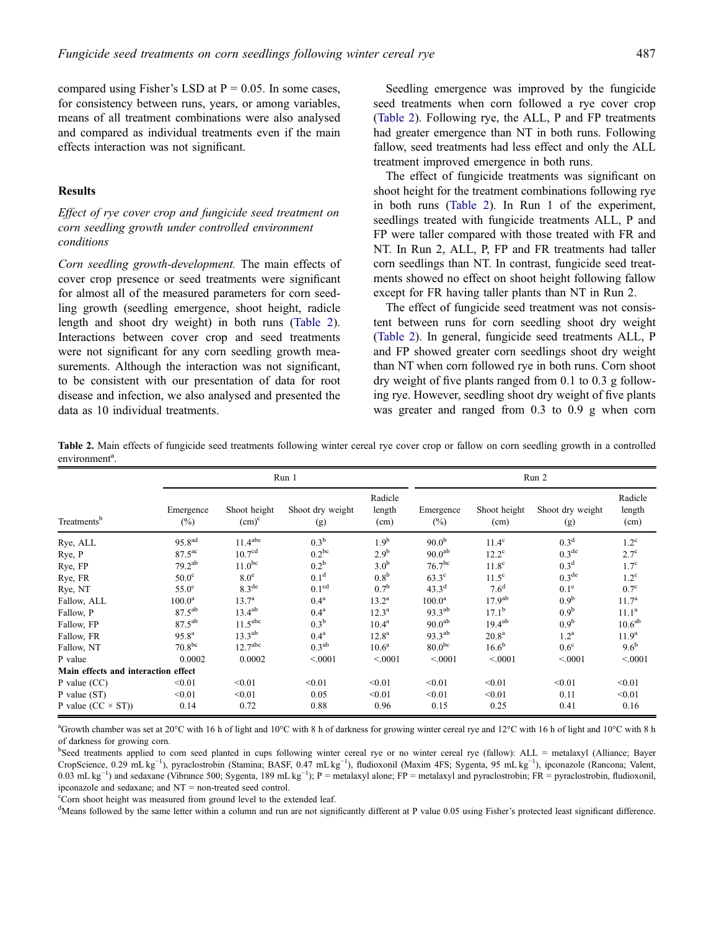<span id="page-7-0"></span>compared using Fisher's LSD at  $P = 0.05$ . In some cases, for consistency between runs, years, or among variables, means of all treatment combinations were also analysed and compared as individual treatments even if the main effects interaction was not significant.

# Results

Effect of rye cover crop and fungicide seed treatment on corn seedling growth under controlled environment conditions

Corn seedling growth-development. The main effects of cover crop presence or seed treatments were significant for almost all of the measured parameters for corn seedling growth (seedling emergence, shoot height, radicle length and shoot dry weight) in both runs (Table 2). Interactions between cover crop and seed treatments were not significant for any corn seedling growth measurements. Although the interaction was not significant, to be consistent with our presentation of data for root disease and infection, we also analysed and presented the data as 10 individual treatments.

Seedling emergence was improved by the fungicide seed treatments when corn followed a rye cover crop (Table 2). Following rye, the ALL, P and FP treatments had greater emergence than NT in both runs. Following fallow, seed treatments had less effect and only the ALL treatment improved emergence in both runs.

The effect of fungicide treatments was significant on shoot height for the treatment combinations following rye in both runs (Table 2). In Run 1 of the experiment, seedlings treated with fungicide treatments ALL, P and FP were taller compared with those treated with FR and NT. In Run 2, ALL, P, FP and FR treatments had taller corn seedlings than NT. In contrast, fungicide seed treatments showed no effect on shoot height following fallow except for FR having taller plants than NT in Run 2.

The effect of fungicide seed treatment was not consistent between runs for corn seedling shoot dry weight (Table 2). In general, fungicide seed treatments ALL, P and FP showed greater corn seedlings shoot dry weight than NT when corn followed rye in both runs. Corn shoot dry weight of five plants ranged from 0.1 to 0.3 g following rye. However, seedling shoot dry weight of five plants was greater and ranged from 0.3 to 0.9 g when corn

Table 2. Main effects of fungicide seed treatments following winter cereal rye cover crop or fallow on corn seedling growth in a controlled environment<sup>a</sup>.

|                                     |                     | Run 1                    |                         |                           |                     | Run 2                |                         |                           |  |
|-------------------------------------|---------------------|--------------------------|-------------------------|---------------------------|---------------------|----------------------|-------------------------|---------------------------|--|
| Treatments <sup>b</sup>             | Emergence<br>$(\%)$ | Shoot height<br>$(cm)^c$ | Shoot dry weight<br>(g) | Radicle<br>length<br>(cm) | Emergence<br>$(\%)$ | Shoot height<br>(cm) | Shoot dry weight<br>(g) | Radicle<br>length<br>(cm) |  |
| Rye, ALL                            | 95.8 <sup>ad</sup>  | 11.4 <sup>abc</sup>      | 0.3 <sup>b</sup>        | 1.9 <sup>b</sup>          | $90.0^{b}$          | $11.4^\mathrm{c}$    | 0.3 <sup>d</sup>        | $1.2^{\circ}$             |  |
| Rye, P                              | $87.5^{\text{ac}}$  | 10.7 <sup>cd</sup>       | $0.2^{bc}$              | 2.9 <sup>b</sup>          | 90.0 <sup>ab</sup>  | $12.2^{\circ}$       | $0.3^{\text{de}}$       | $2.7^{\circ}$             |  |
| Rye, FP                             | $79.2^{ab}$         | $11.0^{bc}$              | $0.2^{\rm b}$           | 3.0 <sup>b</sup>          | 76.7 <sup>bc</sup>  | 11.8 <sup>c</sup>    | 0.3 <sup>d</sup>        | 1.7 <sup>c</sup>          |  |
| Rye, FR                             | $50.0^\circ$        | 8.0 <sup>e</sup>         | 0.1 <sup>d</sup>        | 0.8 <sup>b</sup>          | $63.3^\circ$        | $11.5^\circ$         | $0.3^{\text{de}}$       | $1.2^{\circ}$             |  |
| Rye, NT                             | $55.0^\circ$        | 8.3 <sup>de</sup>        | 0.1 <sup>cd</sup>       | 0.7 <sup>b</sup>          | $43.3^d$            | 7.6 <sup>d</sup>     | 0.1 <sup>e</sup>        | $0.7^\circ$               |  |
| Fallow, ALL                         | 100.0 <sup>a</sup>  | $13.7^{\rm a}$           | 0.4 <sup>a</sup>        | $13.2^{\rm a}$            | $100.0^{\rm a}$     | $17.9^{ab}$          | 0.9 <sup>b</sup>        | 11.7 <sup>a</sup>         |  |
| Fallow, P                           | $87.5^{ab}$         | $13.4^{ab}$              | 0.4 <sup>a</sup>        | $12.3^{\rm a}$            | $93.3^{ab}$         | $17.1^{\rm b}$       | 0.9 <sup>b</sup>        | 11.1 <sup>a</sup>         |  |
| Fallow, FP                          | $87.5^{ab}$         | 11.5 <sup>abc</sup>      | 0.3 <sup>b</sup>        | 10.4 <sup>a</sup>         | 90.0 <sup>ab</sup>  | $19.4^{ab}$          | 0.9 <sup>b</sup>        | 10.6 <sup>ab</sup>        |  |
| Fallow, FR                          | $95.8^{a}$          | $13.3^{ab}$              | 0.4 <sup>a</sup>        | $12.8^{\rm a}$            | $93.3^{ab}$         | 20.8 <sup>a</sup>    | 1.2 <sup>a</sup>        | 11.9 <sup>a</sup>         |  |
| Fallow, NT                          | 70.8 <sup>bc</sup>  | 12.7 <sup>abc</sup>      | $0.3^{ab}$              | 10.6 <sup>a</sup>         | $80.0^{bc}$         | $16.6^{b}$           | $0.6^{\circ}$           | $9.6^{\rm b}$             |  |
| P value                             | 0.0002              | 0.0002                   | < 0001                  | < 0001                    | < 0001              | < 0001               | < 0001                  | < 0001                    |  |
| Main effects and interaction effect |                     |                          |                         |                           |                     |                      |                         |                           |  |
| P value $(CC)$                      | < 0.01              | < 0.01                   | < 0.01                  | < 0.01                    | < 0.01              | < 0.01               | < 0.01                  | < 0.01                    |  |
| P value (ST)                        | < 0.01              | < 0.01                   | 0.05                    | < 0.01                    | < 0.01              | < 0.01               | 0.11                    | < 0.01                    |  |
| P value $(CC \times ST)$            | 0.14                | 0.72                     | 0.88                    | 0.96                      | 0.15                | 0.25                 | 0.41                    | 0.16                      |  |

a Growth chamber was set at 20°C with 16 h of light and 10°C with 8 h of darkness for growing winter cereal rye and 12°C with 16 h of light and 10°C with 8 h of darkness for growing corn.

<sup>b</sup>Seed treatments applied to corn seed planted in cups following winter cereal rye or no winter cereal rye (fallow): ALL = metalaxyl (Alliance; Bayer CropScience, 0.29 mL kg−<sup>1</sup> ), pyraclostrobin (Stamina; BASF, 0.47 mL kg−<sup>1</sup> ), fludioxonil (Maxim 4FS; Sygenta, 95 mL kg−<sup>1</sup> ), ipconazole (Rancona; Valent, 0.03 mL kg<sup>-1</sup>) and sedaxane (Vibrance 500; Sygenta, 189 mL kg<sup>-1</sup>); P = metalaxyl alone; FP = metalaxyl and pyraclostrobin; FR = pyraclostrobin, fludioxonil, ipconazole and sedaxane; and NT = non-treated seed control.

<sup>c</sup>Corn shoot height was measured from ground level to the extended leaf.

<sup>d</sup>Means followed by the same letter within a column and run are not significantly different at P value 0.05 using Fisher's protected least significant difference.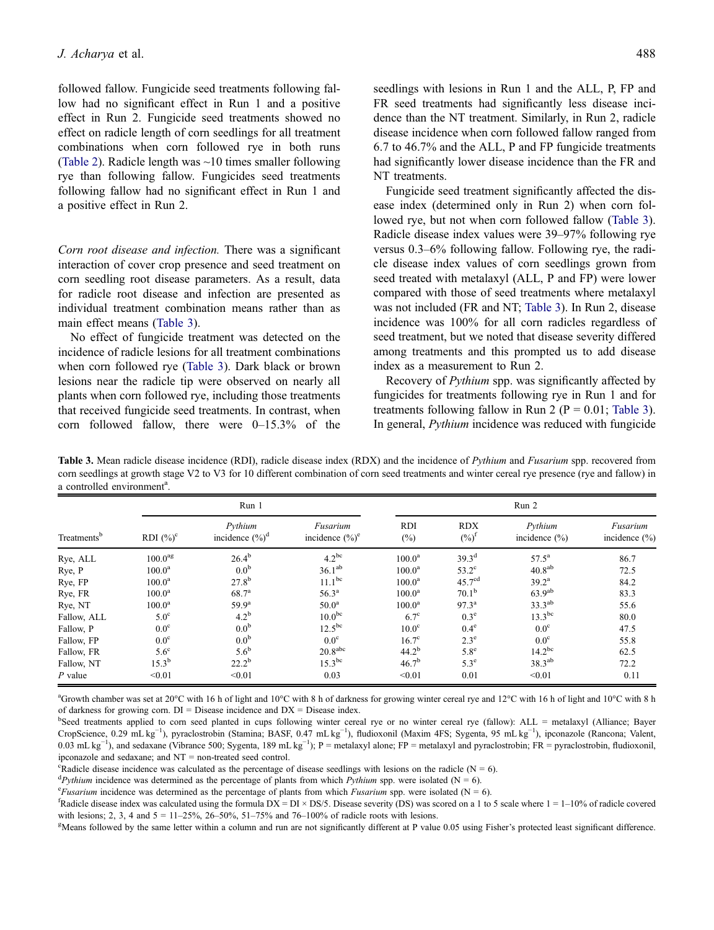<span id="page-8-0"></span>followed fallow. Fungicide seed treatments following fallow had no significant effect in Run 1 and a positive effect in Run 2. Fungicide seed treatments showed no effect on radicle length of corn seedlings for all treatment combinations when corn followed rye in both runs ([Table 2\)](#page-7-0). Radicle length was ~10 times smaller following rye than following fallow. Fungicides seed treatments following fallow had no significant effect in Run 1 and a positive effect in Run 2.

Corn root disease and infection. There was a significant interaction of cover crop presence and seed treatment on corn seedling root disease parameters. As a result, data for radicle root disease and infection are presented as individual treatment combination means rather than as main effect means (Table 3).

No effect of fungicide treatment was detected on the incidence of radicle lesions for all treatment combinations when corn followed rye (Table 3). Dark black or brown lesions near the radicle tip were observed on nearly all plants when corn followed rye, including those treatments that received fungicide seed treatments. In contrast, when corn followed fallow, there were 0–15.3% of the

Fungicide seed treatment significantly affected the disease index (determined only in Run 2) when corn followed rye, but not when corn followed fallow (Table 3). Radicle disease index values were 39–97% following rye versus 0.3–6% following fallow. Following rye, the radicle disease index values of corn seedlings grown from seed treated with metalaxyl (ALL, P and FP) were lower compared with those of seed treatments where metalaxyl was not included (FR and NT; Table 3). In Run 2, disease incidence was 100% for all corn radicles regardless of seed treatment, but we noted that disease severity differed among treatments and this prompted us to add disease index as a measurement to Run 2.

Recovery of Pythium spp. was significantly affected by fungicides for treatments following rye in Run 1 and for treatments following fallow in Run 2 ( $P = 0.01$ ; Table 3). In general, Pythium incidence was reduced with fungicide

Table 3. Mean radicle disease incidence (RDI), radicle disease index (RDX) and the incidence of Pythium and Fusarium spp. recovered from corn seedlings at growth stage V2 to V3 for 10 different combination of corn seed treatments and winter cereal rye presence (rye and fallow) in a controlled environment<sup>a</sup>.

| Treatments <sup>b</sup> |                     | Run 1                         |                                |                   | Run 2                          |                              |                               |  |  |
|-------------------------|---------------------|-------------------------------|--------------------------------|-------------------|--------------------------------|------------------------------|-------------------------------|--|--|
|                         | RDI $(\%)^c$        | Pythium<br>incidence $(\%)^d$ | Fusarium<br>incidence $(\%)^e$ | <b>RDI</b><br>(%) | <b>RDX</b><br>$(\%)^{\dagger}$ | Pythium<br>incidence $(\% )$ | Fusarium<br>incidence $(\% )$ |  |  |
| Rye, ALL                | 100.0 <sup>ag</sup> | $26.4^{b}$                    | $4.2^{bc}$                     | $100.0^{\rm a}$   | $39.3^{d}$                     | $57.5^{\rm a}$               | 86.7                          |  |  |
| Rye, P                  | $100.0^{\rm a}$     | 0.0 <sup>b</sup>              | 36.1 <sup>ab</sup>             | $100.0^{\rm a}$   | $53.2^{\circ}$                 | 40.8 <sup>ab</sup>           | 72.5                          |  |  |
| Rye, FP                 | $100.0^{\rm a}$     | $27.8^{b}$                    | $11.1^{bc}$                    | $100.0^a$         | 45.7 <sup>cd</sup>             | $39.2^{\rm a}$               | 84.2                          |  |  |
| Rye, FR                 | $100.0^{\rm a}$     | $68.7^{\rm a}$                | $56.3^{\rm a}$                 | $100.0^a$         | $70.1^{\rm b}$                 | $63.9^{ab}$                  | 83.3                          |  |  |
| Rye, NT                 | $100.0^{\rm a}$     | 59.9 <sup>a</sup>             | 50.0 <sup>a</sup>              | $100.0^{\rm a}$   | $97.3^{\rm a}$                 | $33.3^{ab}$                  | 55.6                          |  |  |
| Fallow, ALL             | 5.0 <sup>c</sup>    | $4.2^{\rm b}$                 | $10.0^{bc}$                    | $6.7^\circ$       | $0.3^e$                        | $13.3^{bc}$                  | 80.0                          |  |  |
| Fallow, P               | 0.0 <sup>c</sup>    | 0.0 <sup>b</sup>              | $12.5^{bc}$                    | 10.0 <sup>c</sup> | $0.4^\mathrm{e}$               | 0.0 <sup>c</sup>             | 47.5                          |  |  |
| Fallow, FP              | $0.0^{\circ}$       | 0.0 <sup>b</sup>              | 0.0 <sup>c</sup>               | $16.7^\circ$      | $2.3^e$                        | 0.0 <sup>c</sup>             | 55.8                          |  |  |
| Fallow, FR              | $5.6^{\circ}$       | $5.6^{\rm b}$                 | 20.8 <sup>abc</sup>            | $44.2^{b}$        | $5.8^{\circ}$                  | $14.2^{bc}$                  | 62.5                          |  |  |
| Fallow, NT              | $15.3^{b}$          | $22.2^b$                      | $15.3^{bc}$                    | $46.7^{b}$        | $5.3^{\circ}$                  | 38.3 <sup>ab</sup>           | 72.2                          |  |  |
| $P$ value               | < 0.01              | < 0.01                        | 0.03                           | < 0.01            | 0.01                           | < 0.01                       | 0.11                          |  |  |

a Growth chamber was set at 20°C with 16 h of light and 10°C with 8 h of darkness for growing winter cereal rye and 12°C with 16 h of light and 10°C with 8 h of darkness for growing corn.  $DI = Dise$ ase incidence and  $DX = Dise$ ase index.

b Seed treatments applied to corn seed planted in cups following winter cereal rye or no winter cereal rye (fallow): ALL = metalaxyl (Alliance; Bayer CropScience, 0.29 mL kg<sup>-1</sup>), pyraclostrobin (Stamina; BASF, 0.47 mL kg<sup>-1</sup>), fludioxonil (Maxim 4FS; Sygenta, 95 mL kg<sup>-1</sup>), ipconazole (Rancona; Valent, 0.03 mL kg<sup>-1</sup>), and sedaxane (Vibrance 500; Sygenta, 189 mL kg<sup>-1</sup>); P = metalaxyl alone; FP = metalaxyl and pyraclostrobin; FR = pyraclostrobin, fludioxonil, ipconazole and sedaxane; and NT = non-treated seed control.

 $c^{\text{radicle}}$  disease incidence was calculated as the percentage of disease seedlings with lesions on the radicle (N = 6).

<sup>d</sup> Pythium incidence was determined as the percentage of plants from which Pythium spp. were isolated (N = 6).

*<sup>e</sup>Fusarium* incidence was determined as the percentage of plants from which *Fusarium* spp. were isolated (N = 6).

<sup>f</sup>Radicle disease index was calculated using the formula DX = DI × DS/5. Disease severity (DS) was scored on a 1 to 5 scale where  $1 = 1-10\%$  of radicle covered with lesions; 2, 3, 4 and  $5 = 11-25\%$ ,  $26-50\%$ ,  $51-75\%$  and  $76-100\%$  of radicle roots with lesions.

<sup>g</sup>Means followed by the same letter within a column and run are not significantly different at P value 0.05 using Fisher's protected least significant difference.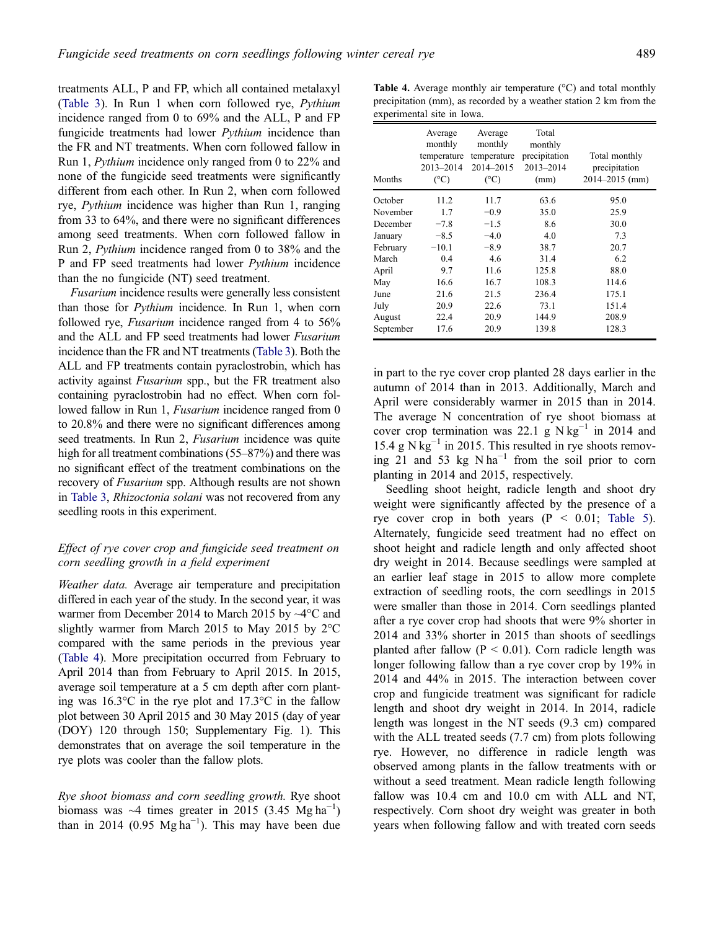treatments ALL, P and FP, which all contained metalaxyl ([Table 3\)](#page-8-0). In Run 1 when corn followed rye, Pythium incidence ranged from 0 to 69% and the ALL, P and FP fungicide treatments had lower Pythium incidence than the FR and NT treatments. When corn followed fallow in Run 1, Pythium incidence only ranged from 0 to 22% and none of the fungicide seed treatments were significantly different from each other. In Run 2, when corn followed rye, Pythium incidence was higher than Run 1, ranging from 33 to 64%, and there were no significant differences among seed treatments. When corn followed fallow in Run 2, Pythium incidence ranged from 0 to 38% and the P and FP seed treatments had lower Pythium incidence than the no fungicide (NT) seed treatment.

Fusarium incidence results were generally less consistent than those for Pythium incidence. In Run 1, when corn followed rye, Fusarium incidence ranged from 4 to 56% and the ALL and FP seed treatments had lower Fusarium incidence than the FR and NT treatments ([Table 3](#page-8-0)). Both the ALL and FP treatments contain pyraclostrobin, which has activity against Fusarium spp., but the FR treatment also containing pyraclostrobin had no effect. When corn followed fallow in Run 1, *Fusarium* incidence ranged from 0 to 20.8% and there were no significant differences among seed treatments. In Run 2, *Fusarium* incidence was quite high for all treatment combinations (55–87%) and there was no significant effect of the treatment combinations on the recovery of Fusarium spp. Although results are not shown in [Table 3,](#page-8-0) Rhizoctonia solani was not recovered from any seedling roots in this experiment.

# Effect of rye cover crop and fungicide seed treatment on corn seedling growth in a field experiment

Weather data. Average air temperature and precipitation differed in each year of the study. In the second year, it was warmer from December 2014 to March 2015 by ~4°C and slightly warmer from March 2015 to May 2015 by 2°C compared with the same periods in the previous year (Table 4). More precipitation occurred from February to April 2014 than from February to April 2015. In 2015, average soil temperature at a 5 cm depth after corn planting was 16.3°C in the rye plot and 17.3°C in the fallow plot between 30 April 2015 and 30 May 2015 (day of year (DOY) 120 through 150; Supplementary Fig. 1). This demonstrates that on average the soil temperature in the rye plots was cooler than the fallow plots.

Rye shoot biomass and corn seedling growth. Rye shoot biomass was  $\sim$ 4 times greater in 2015 (3.45 Mg ha<sup>-1</sup>) than in 2014 (0.95 Mg ha<sup>-1</sup>). This may have been due

**Table 4.** Average monthly air temperature  $(^{\circ}C)$  and total monthly precipitation (mm), as recorded by a weather station 2 km from the experimental site in Iowa.

| Months    | Average<br>monthly<br>temperature<br>2013-2014<br>(°C) | Average<br>monthly<br>temperature<br>2014-2015<br>$(C^{\circ}C)$ | Total<br>monthly<br>precipitation<br>2013-2014<br>(mm) | Total monthly<br>precipitation<br>$2014 - 2015$ (mm) |
|-----------|--------------------------------------------------------|------------------------------------------------------------------|--------------------------------------------------------|------------------------------------------------------|
| October   | 11.2                                                   | 11.7                                                             | 63.6                                                   | 95.0                                                 |
| November  | 1.7                                                    | $-0.9$                                                           | 35.0                                                   | 25.9                                                 |
| December  | $-7.8$                                                 | $-1.5$                                                           | 8.6                                                    | 30.0                                                 |
| January   | $-8.5$                                                 | $-4.0$                                                           | 4.0                                                    | 7.3                                                  |
| February  | $-10.1$                                                | $-8.9$                                                           | 38.7                                                   | 20.7                                                 |
| March     | 0.4                                                    | 4.6                                                              | 31.4                                                   | 6.2                                                  |
| April     | 9.7                                                    | 11.6                                                             | 125.8                                                  | 88.0                                                 |
| May       | 16.6                                                   | 16.7                                                             | 108.3                                                  | 114.6                                                |
| June      | 21.6                                                   | 21.5                                                             | 236.4                                                  | 175.1                                                |
| July      | 20.9                                                   | 22.6                                                             | 73.1                                                   | 151.4                                                |
| August    | 22.4                                                   | 20.9                                                             | 144.9                                                  | 208.9                                                |
| September | 17.6                                                   | 20.9                                                             | 139.8                                                  | 128.3                                                |

in part to the rye cover crop planted 28 days earlier in the autumn of 2014 than in 2013. Additionally, March and April were considerably warmer in 2015 than in 2014. The average N concentration of rye shoot biomass at cover crop termination was 22.1 g N kg<sup>-1</sup> in 2014 and 15.4 g N  $kg^{-1}$  in 2015. This resulted in rye shoots removing 21 and 53 kg  $N \, \text{ha}^{-1}$  from the soil prior to corn planting in 2014 and 2015, respectively.

Seedling shoot height, radicle length and shoot dry weight were significantly affected by the presence of a rye cover crop in both years  $(P < 0.01$ ; [Table 5\)](#page-10-0). Alternately, fungicide seed treatment had no effect on shoot height and radicle length and only affected shoot dry weight in 2014. Because seedlings were sampled at an earlier leaf stage in 2015 to allow more complete extraction of seedling roots, the corn seedlings in 2015 were smaller than those in 2014. Corn seedlings planted after a rye cover crop had shoots that were 9% shorter in 2014 and 33% shorter in 2015 than shoots of seedlings planted after fallow ( $P < 0.01$ ). Corn radicle length was longer following fallow than a rye cover crop by 19% in 2014 and 44% in 2015. The interaction between cover crop and fungicide treatment was significant for radicle length and shoot dry weight in 2014. In 2014, radicle length was longest in the NT seeds (9.3 cm) compared with the ALL treated seeds (7.7 cm) from plots following rye. However, no difference in radicle length was observed among plants in the fallow treatments with or without a seed treatment. Mean radicle length following fallow was 10.4 cm and 10.0 cm with ALL and NT, respectively. Corn shoot dry weight was greater in both years when following fallow and with treated corn seeds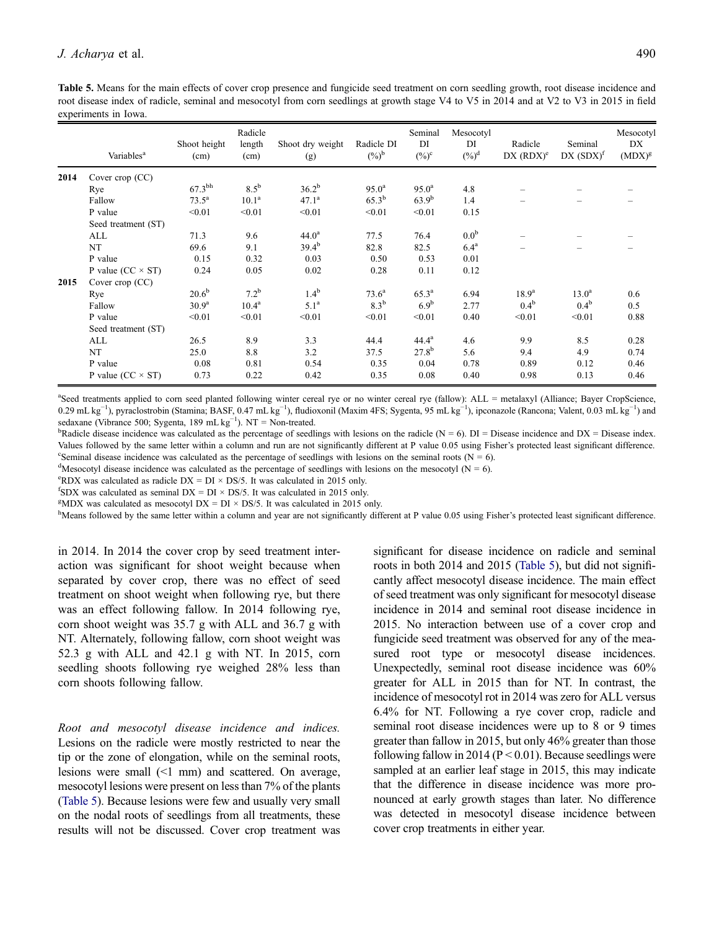<span id="page-10-0"></span>Table 5. Means for the main effects of cover crop presence and fungicide seed treatment on corn seedling growth, root disease incidence and root disease index of radicle, seminal and mesocotyl from corn seedlings at growth stage V4 to V5 in 2014 and at V2 to V3 in 2015 in field experiments in Iowa.

|      | Variables <sup>a</sup>     | Shoot height<br>(cm) | Radicle<br>length<br>(cm) | Shoot dry weight<br>(g) | Radicle DI<br>$(\%)^{\rm b}$ | Seminal<br>DI<br>$(\%)^c$ | Mesocotyl<br>DI<br>$(\%)^d$ | Radicle<br>$DX (RDX)^e$ | Seminal<br>$DX(SDX)^f$ | Mesocotyl<br>DX<br>$(MDX)^g$ |
|------|----------------------------|----------------------|---------------------------|-------------------------|------------------------------|---------------------------|-----------------------------|-------------------------|------------------------|------------------------------|
| 2014 | Cover crop (CC)            |                      |                           |                         |                              |                           |                             |                         |                        |                              |
|      | Rye                        | $67.3^{\text{bh}}$   | $8.5^{\rm b}$             | $36.2^{b}$              | $95.0^{\rm a}$               | $95.0^{\rm a}$            | 4.8                         |                         |                        |                              |
|      | Fallow                     | $73.5^{\rm a}$       | 10.1 <sup>a</sup>         | 47.1 <sup>a</sup>       | $65.3^{b}$                   | $63.9^{b}$                | 1.4                         |                         |                        |                              |
|      | P value                    | < 0.01               | < 0.01                    | < 0.01                  | < 0.01                       | < 0.01                    | 0.15                        |                         |                        |                              |
|      | Seed treatment (ST)        |                      |                           |                         |                              |                           |                             |                         |                        |                              |
|      | ALL                        | 71.3                 | 9.6                       | 44.0 <sup>a</sup>       | 77.5                         | 76.4                      | 0.0 <sup>b</sup>            |                         |                        |                              |
|      | NT                         | 69.6                 | 9.1                       | $39.4^{b}$              | 82.8                         | 82.5                      | 6.4 <sup>a</sup>            |                         |                        |                              |
|      | P value                    | 0.15                 | 0.32                      | 0.03                    | 0.50                         | 0.53                      | 0.01                        |                         |                        |                              |
|      | P value ( $CC \times ST$ ) | 0.24                 | 0.05                      | 0.02                    | 0.28                         | 0.11                      | 0.12                        |                         |                        |                              |
| 2015 | Cover crop (CC)            |                      |                           |                         |                              |                           |                             |                         |                        |                              |
|      | Rye                        | $20.6^{b}$           | $7.2^{b}$                 | 1.4 <sup>b</sup>        | $73.6^{\rm a}$               | $65.3^{\rm a}$            | 6.94                        | $18.9^{a}$              | $13.0^{\rm a}$         | 0.6                          |
|      | Fallow                     | $30.9^{\rm a}$       | $10.4^{\rm a}$            | 5.1 <sup>a</sup>        | $8.3^{\rm b}$                | 6.9 <sup>b</sup>          | 2.77                        | $0.4^{\rm b}$           | $0.4^{\rm b}$          | 0.5                          |
|      | P value                    | < 0.01               | < 0.01                    | < 0.01                  | < 0.01                       | < 0.01                    | 0.40                        | < 0.01                  | < 0.01                 | 0.88                         |
|      | Seed treatment (ST)        |                      |                           |                         |                              |                           |                             |                         |                        |                              |
|      | ALL                        | 26.5                 | 8.9                       | 3.3                     | 44.4                         | $44.4^{\rm a}$            | 4.6                         | 9.9                     | 8.5                    | 0.28                         |
|      | NT                         | 25.0                 | 8.8                       | 3.2                     | 37.5                         | $27.8^{b}$                | 5.6                         | 9.4                     | 4.9                    | 0.74                         |
|      | P value                    | 0.08                 | 0.81                      | 0.54                    | 0.35                         | 0.04                      | 0.78                        | 0.89                    | 0.12                   | 0.46                         |
|      | P value ( $CC \times ST$ ) | 0.73                 | 0.22                      | 0.42                    | 0.35                         | 0.08                      | 0.40                        | 0.98                    | 0.13                   | 0.46                         |

a Seed treatments applied to corn seed planted following winter cereal rye or no winter cereal rye (fallow): ALL = metalaxyl (Alliance; Bayer CropScience, 0.29 mL kg<sup>-1</sup>), pyraclostrobin (Stamina; BASF, 0.47 mL kg<sup>-1</sup>), fludioxonil (Maxim 4FS; Sygenta, 95 mL kg<sup>-1</sup>), ipconazole (Rancona; Valent, 0.03 mL kg<sup>-1</sup>) and sedaxane (Vibrance 500; Sygenta, 189 mL  $kg^{-1}$ ). NT = Non-treated.

<sup>b</sup>Radicle disease incidence was calculated as the percentage of seedlings with lesions on the radicle (N = 6). DI = Disease incidence and DX = Disease index. Values followed by the same letter within a column and run are not significantly different at P value 0.05 using Fisher's protected least significant difference. Seminal disease incidence was calculated as the percentage of seedlings with lesions on the seminal roots ( $N = 6$ ).

<sup>d</sup>Mesocotyl disease incidence was calculated as the percentage of seedlings with lesions on the mesocotyl (N = 6).

<sup>e</sup>RDX was calculated as radicle DX = DI × DS/5. It was calculated in 2015 only.

<sup>f</sup>SDX was calculated as seminal DX = DI  $\times$  DS/5. It was calculated in 2015 only.

<sup>g</sup>MDX was calculated as mesocotyl DX = DI  $\times$  DS/5. It was calculated in 2015 only.

<sup>h</sup>Means followed by the same letter within a column and year are not significantly different at P value 0.05 using Fisher's protected least significant difference.

in 2014. In 2014 the cover crop by seed treatment interaction was significant for shoot weight because when separated by cover crop, there was no effect of seed treatment on shoot weight when following rye, but there was an effect following fallow. In 2014 following rye, corn shoot weight was 35.7 g with ALL and 36.7 g with NT. Alternately, following fallow, corn shoot weight was 52.3 g with ALL and 42.1 g with NT. In 2015, corn seedling shoots following rye weighed 28% less than corn shoots following fallow.

Root and mesocotyl disease incidence and indices. Lesions on the radicle were mostly restricted to near the tip or the zone of elongation, while on the seminal roots, lesions were small (<1 mm) and scattered. On average, mesocotyl lesions were present on less than 7% of the plants (Table 5). Because lesions were few and usually very small on the nodal roots of seedlings from all treatments, these results will not be discussed. Cover crop treatment was significant for disease incidence on radicle and seminal roots in both 2014 and 2015 (Table 5), but did not significantly affect mesocotyl disease incidence. The main effect of seed treatment was only significant for mesocotyl disease incidence in 2014 and seminal root disease incidence in 2015. No interaction between use of a cover crop and fungicide seed treatment was observed for any of the measured root type or mesocotyl disease incidences. Unexpectedly, seminal root disease incidence was 60% greater for ALL in 2015 than for NT. In contrast, the incidence of mesocotyl rot in 2014 was zero for ALL versus 6.4% for NT. Following a rye cover crop, radicle and seminal root disease incidences were up to 8 or 9 times greater than fallow in 2015, but only 46% greater than those following fallow in 2014 ( $P < 0.01$ ). Because seedlings were sampled at an earlier leaf stage in 2015, this may indicate that the difference in disease incidence was more pronounced at early growth stages than later. No difference was detected in mesocotyl disease incidence between cover crop treatments in either year.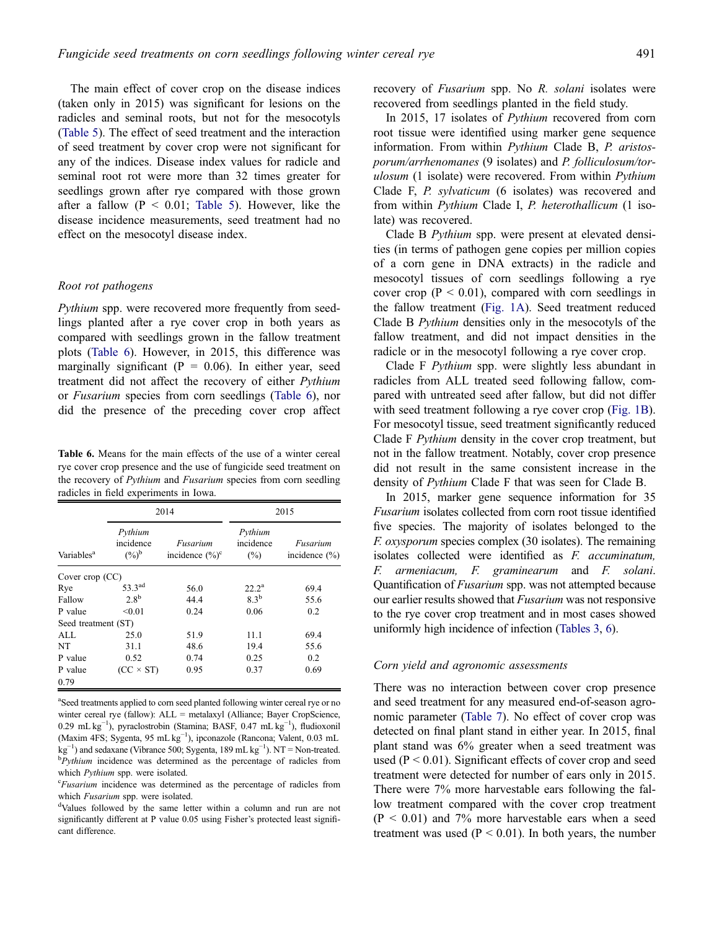The main effect of cover crop on the disease indices (taken only in 2015) was significant for lesions on the radicles and seminal roots, but not for the mesocotyls ([Table 5](#page-10-0)). The effect of seed treatment and the interaction of seed treatment by cover crop were not significant for any of the indices. Disease index values for radicle and seminal root rot were more than 32 times greater for seedlings grown after rye compared with those grown after a fallow  $(P < 0.01$ ; [Table 5](#page-10-0)). However, like the disease incidence measurements, seed treatment had no effect on the mesocotyl disease index.

# Root rot pathogens

Pythium spp. were recovered more frequently from seedlings planted after a rye cover crop in both years as compared with seedlings grown in the fallow treatment plots (Table 6). However, in 2015, this difference was marginally significant ( $P = 0.06$ ). In either year, seed treatment did not affect the recovery of either Pythium or Fusarium species from corn seedlings (Table 6), nor did the presence of the preceding cover crop affect

Table 6. Means for the main effects of the use of a winter cereal rye cover crop presence and the use of fungicide seed treatment on the recovery of *Pythium* and *Fusarium* species from corn seedling radicles in field experiments in Iowa.

|                        |                                        | 2014                           | 2015                           |                               |  |  |
|------------------------|----------------------------------------|--------------------------------|--------------------------------|-------------------------------|--|--|
| Variables <sup>a</sup> | Pythium<br>incidence<br>$(\%)^{\rm b}$ | Fusarium<br>incidence $(\%)^c$ | Pythium<br>incidence<br>$(\%)$ | Fusarium<br>incidence $(\% )$ |  |  |
| Cover crop $(CC)$      |                                        |                                |                                |                               |  |  |
| Rye                    | 53.3 <sup>ad</sup>                     | 56.0                           | $22.2^{\rm a}$                 | 69.4                          |  |  |
| Fallow                 | $2.8^{\rm b}$                          | 44.4                           | $8.3^{b}$                      | 55.6                          |  |  |
| P value                | < 0.01                                 | 0.24                           | 0.06                           | 0.2                           |  |  |
| Seed treatment (ST)    |                                        |                                |                                |                               |  |  |
| ALL                    | 25.0                                   | 51.9                           | 11.1                           | 69.4                          |  |  |
| NT                     | 31.1                                   | 48.6                           | 19.4                           | 55.6                          |  |  |
| P value                | 0.52                                   | 0.74                           | 0.25                           | 0.2                           |  |  |
| P value                | $(CC \times ST)$                       | 0.95                           | 0.37                           | 0.69                          |  |  |
| 0.79                   |                                        |                                |                                |                               |  |  |

<sup>a</sup>Seed treatments applied to corn seed planted following winter cereal rye or no winter cereal rye (fallow): ALL = metalaxyl (Alliance; Bayer CropScience, 0.29 mL kg−<sup>1</sup> ), pyraclostrobin (Stamina; BASF, 0.47 mL kg−<sup>1</sup> ), fludioxonil (Maxim 4FS; Sygenta, 95 mL kg−<sup>1</sup> ), ipconazole (Rancona; Valent, 0.03 mL  $kg^{-1}$ ) and sedaxane (Vibrance 500; Sygenta, 189 mL kg<sup>-1</sup>). NT = Non-treated.<br><sup>b</sup> Buthium incidence was determined as the percentage of radicles from  ${}^{b}Pythium$  incidence was determined as the percentage of radicles from which Pythium spp. were isolated.

<sup>c</sup>Fusarium incidence was determined as the percentage of radicles from which Fusarium spp. were isolated.

Values followed by the same letter within a column and run are not significantly different at P value 0.05 using Fisher's protected least significant difference.

recovery of *Fusarium* spp. No *R. solani* isolates were recovered from seedlings planted in the field study.

In 2015, 17 isolates of Pythium recovered from corn root tissue were identified using marker gene sequence information. From within Pythium Clade B, P. aristosporum/arrhenomanes (9 isolates) and P. folliculosum/torulosum (1 isolate) were recovered. From within *Pythium* Clade F, P. sylvaticum (6 isolates) was recovered and from within Pythium Clade I, P. heterothallicum (1 isolate) was recovered.

Clade B Pythium spp. were present at elevated densities (in terms of pathogen gene copies per million copies of a corn gene in DNA extracts) in the radicle and mesocotyl tissues of corn seedlings following a rye cover crop ( $P < 0.01$ ), compared with corn seedlings in the fallow treatment [\(Fig. 1A](#page-12-0)). Seed treatment reduced Clade B Pythium densities only in the mesocotyls of the fallow treatment, and did not impact densities in the radicle or in the mesocotyl following a rye cover crop.

Clade F Pythium spp. were slightly less abundant in radicles from ALL treated seed following fallow, compared with untreated seed after fallow, but did not differ with seed treatment following a rye cover crop [\(Fig. 1B\)](#page-12-0). For mesocotyl tissue, seed treatment significantly reduced Clade F Pythium density in the cover crop treatment, but not in the fallow treatment. Notably, cover crop presence did not result in the same consistent increase in the density of Pythium Clade F that was seen for Clade B.

In 2015, marker gene sequence information for 35 Fusarium isolates collected from corn root tissue identified five species. The majority of isolates belonged to the F. oxysporum species complex (30 isolates). The remaining isolates collected were identified as F. accuminatum, F. armeniacum, F. graminearum and F. solani. Quantification of Fusarium spp. was not attempted because our earlier results showed that Fusarium was not responsive to the rye cover crop treatment and in most cases showed uniformly high incidence of infection ([Tables 3,](#page-8-0) 6).

#### Corn yield and agronomic assessments

There was no interaction between cover crop presence and seed treatment for any measured end-of-season agronomic parameter ([Table 7\)](#page-13-0). No effect of cover crop was detected on final plant stand in either year. In 2015, final plant stand was 6% greater when a seed treatment was used ( $P < 0.01$ ). Significant effects of cover crop and seed treatment were detected for number of ears only in 2015. There were 7% more harvestable ears following the fallow treatment compared with the cover crop treatment  $(P < 0.01)$  and 7% more harvestable ears when a seed treatment was used ( $P < 0.01$ ). In both years, the number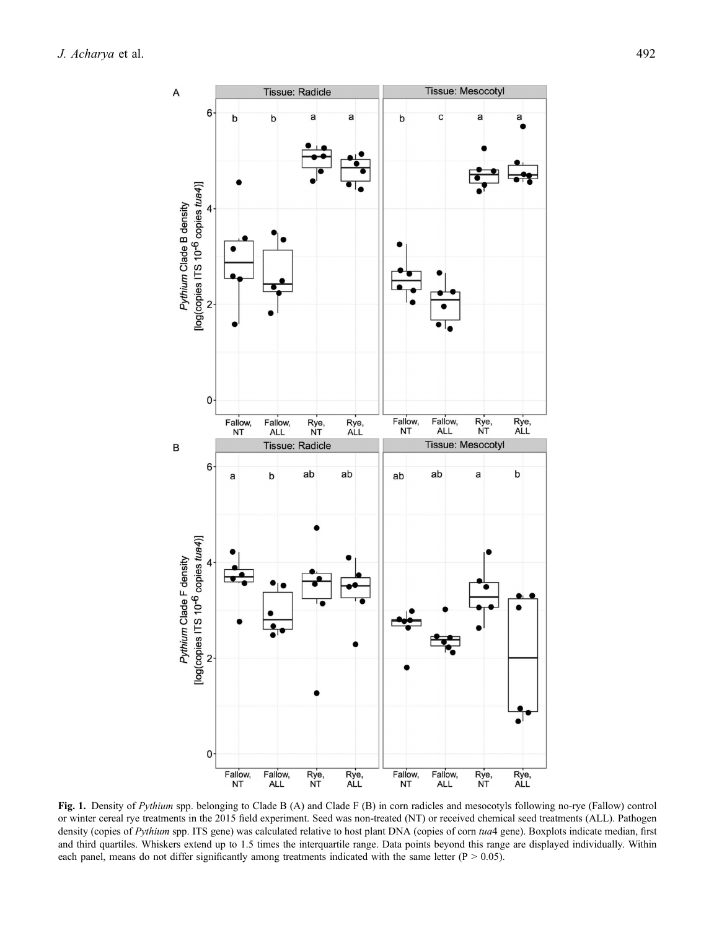<span id="page-12-0"></span>

Fig. 1. Density of Pythium spp. belonging to Clade B (A) and Clade F (B) in corn radicles and mesocotyls following no-rye (Fallow) control or winter cereal rye treatments in the 2015 field experiment. Seed was non-treated (NT) or received chemical seed treatments (ALL). Pathogen density (copies of Pythium spp. ITS gene) was calculated relative to host plant DNA (copies of corn tua4 gene). Boxplots indicate median, first and third quartiles. Whiskers extend up to 1.5 times the interquartile range. Data points beyond this range are displayed individually. Within each panel, means do not differ significantly among treatments indicated with the same letter ( $P > 0.05$ ).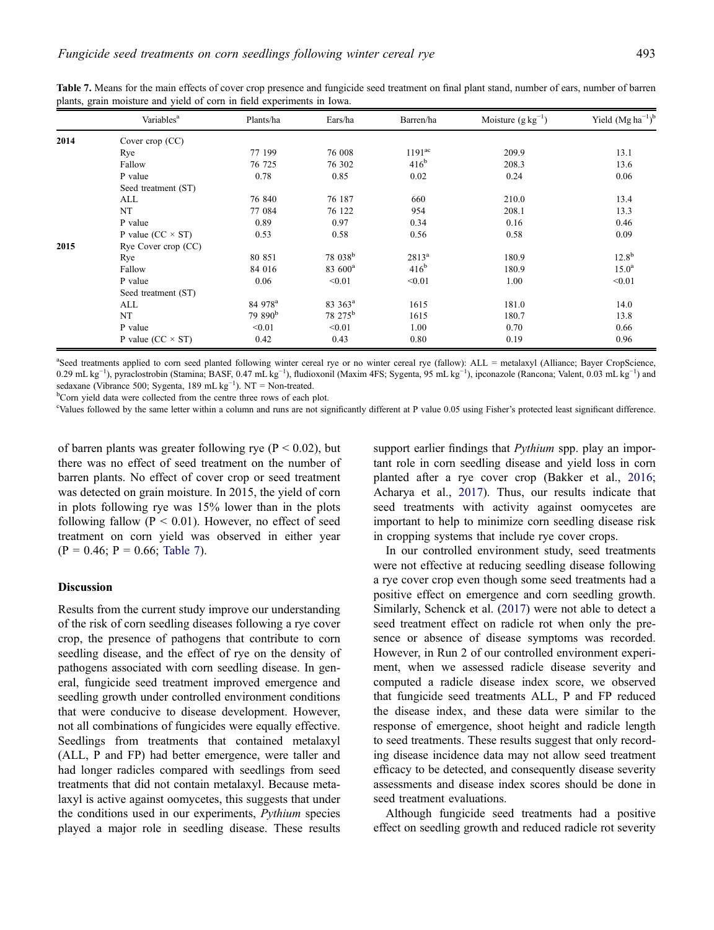|      | Variables <sup>a</sup>     | Plants/ha           | Ears/ha             | Barren/ha          | Moisture $(g kg^{-1})$ | Yield $(Mg ha^{-1})^b$ |
|------|----------------------------|---------------------|---------------------|--------------------|------------------------|------------------------|
| 2014 | Cover crop $(CC)$          |                     |                     |                    |                        |                        |
|      | Rye                        | 77 199              | 76 008              | 1191 <sup>ac</sup> | 209.9                  | 13.1                   |
|      | Fallow                     | 76 725              | 76 302              | $416^b$            | 208.3                  | 13.6                   |
|      | P value                    | 0.78                | 0.85                | 0.02               | 0.24                   | 0.06                   |
|      | Seed treatment (ST)        |                     |                     |                    |                        |                        |
|      | ALL                        | 76 840              | 76 187              | 660                | 210.0                  | 13.4                   |
|      | NT                         | 77 084              | 76 122              | 954                | 208.1                  | 13.3                   |
|      | P value                    | 0.89                | 0.97                | 0.34               | 0.16                   | 0.46                   |
|      | P value ( $CC \times ST$ ) | 0.53                | 0.58                | 0.56               | 0.58                   | 0.09                   |
| 2015 | Rye Cover crop (CC)        |                     |                     |                    |                        |                        |
|      | Rye                        | 80 851              | 78 038 <sup>b</sup> | $2813^a$           | 180.9                  | $12.8^{b}$             |
|      | Fallow                     | 84 016              | 83 600 <sup>a</sup> | 416 <sup>b</sup>   | 180.9                  | $15.0^{\rm a}$         |
|      | P value                    | 0.06                | < 0.01              | < 0.01             | 1.00                   | < 0.01                 |
|      | Seed treatment (ST)        |                     |                     |                    |                        |                        |
|      | ALL                        | 84 978 <sup>a</sup> | 83 363 <sup>a</sup> | 1615               | 181.0                  | 14.0                   |
|      | NT                         | 79 890 <sup>b</sup> | 78 275 <sup>b</sup> | 1615               | 180.7                  | 13.8                   |
|      | P value                    | < 0.01              | < 0.01              | 1.00               | 0.70                   | 0.66                   |
|      | P value ( $CC \times ST$ ) | 0.42                | 0.43                | 0.80               | 0.19                   | 0.96                   |

<span id="page-13-0"></span>Table 7. Means for the main effects of cover crop presence and fungicide seed treatment on final plant stand, number of ears, number of barren plants, grain moisture and yield of corn in field experiments in Iowa.

<sup>a</sup>Seed treatments applied to corn seed planted following winter cereal rye or no winter cereal rye (fallow): ALL = metalaxyl (Alliance; Bayer CropScience, 0.29 mL kg<sup>-1</sup>), pyraclostrobin (Stamina; BASF, 0.47 mL kg<sup>-1</sup>), fludioxonil (Maxim 4FS; Sygenta, 95 mL kg<sup>-1</sup>), ipconazole (Rancona; Valent, 0.03 mL kg<sup>-1</sup>) and sedaxane (Vibrance 500; Sygenta, 189 mL kg<sup>-1</sup>). NT = Non-treated.<br><sup>b</sup>Corn vield data were collected from the centre three rows of each is

<sup>b</sup>Corn yield data were collected from the centre three rows of each plot.

c Values followed by the same letter within a column and runs are not significantly different at P value 0.05 using Fisher's protected least significant difference.

of barren plants was greater following rye ( $P < 0.02$ ), but there was no effect of seed treatment on the number of barren plants. No effect of cover crop or seed treatment was detected on grain moisture. In 2015, the yield of corn in plots following rye was 15% lower than in the plots following fallow ( $P < 0.01$ ). However, no effect of seed treatment on corn yield was observed in either year  $(P = 0.46; P = 0.66;$  Table 7).

# Discussion

Results from the current study improve our understanding of the risk of corn seedling diseases following a rye cover crop, the presence of pathogens that contribute to corn seedling disease, and the effect of rye on the density of pathogens associated with corn seedling disease. In general, fungicide seed treatment improved emergence and seedling growth under controlled environment conditions that were conducive to disease development. However, not all combinations of fungicides were equally effective. Seedlings from treatments that contained metalaxyl (ALL, P and FP) had better emergence, were taller and had longer radicles compared with seedlings from seed treatments that did not contain metalaxyl. Because metalaxyl is active against oomycetes, this suggests that under the conditions used in our experiments, Pythium species played a major role in seedling disease. These results

support earlier findings that *Pythium* spp. play an important role in corn seedling disease and yield loss in corn planted after a rye cover crop (Bakker et al., [2016;](#page-16-0) Acharya et al., [2017](#page-16-0)). Thus, our results indicate that seed treatments with activity against oomycetes are important to help to minimize corn seedling disease risk in cropping systems that include rye cover crops.

In our controlled environment study, seed treatments were not effective at reducing seedling disease following a rye cover crop even though some seed treatments had a positive effect on emergence and corn seedling growth. Similarly, Schenck et al. [\(2017](#page-17-0)) were not able to detect a seed treatment effect on radicle rot when only the presence or absence of disease symptoms was recorded. However, in Run 2 of our controlled environment experiment, when we assessed radicle disease severity and computed a radicle disease index score, we observed that fungicide seed treatments ALL, P and FP reduced the disease index, and these data were similar to the response of emergence, shoot height and radicle length to seed treatments. These results suggest that only recording disease incidence data may not allow seed treatment efficacy to be detected, and consequently disease severity assessments and disease index scores should be done in seed treatment evaluations.

Although fungicide seed treatments had a positive effect on seedling growth and reduced radicle rot severity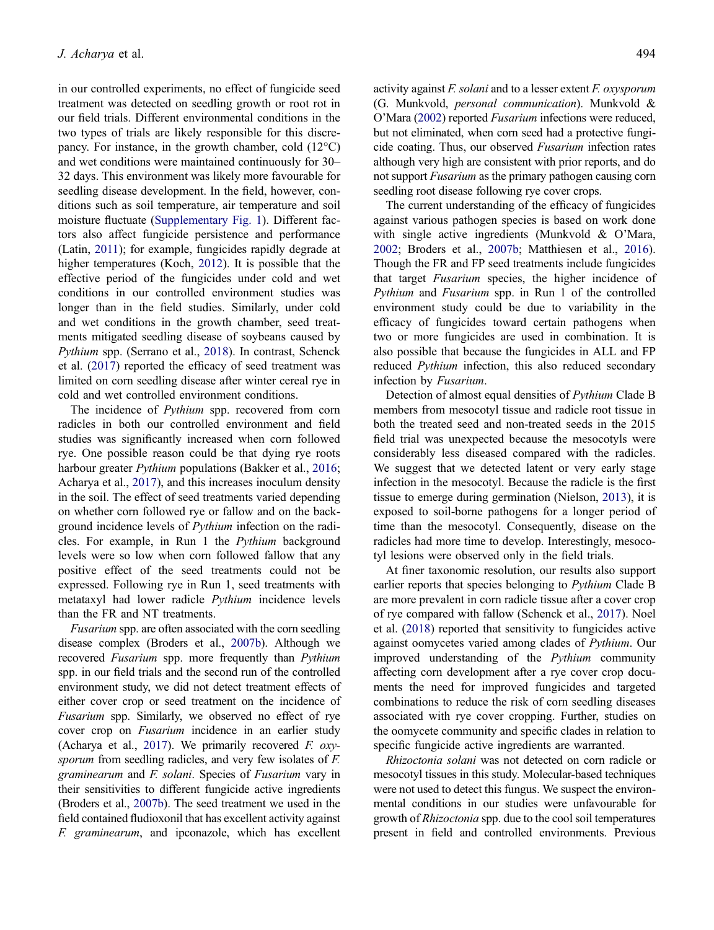in our controlled experiments, no effect of fungicide seed treatment was detected on seedling growth or root rot in our field trials. Different environmental conditions in the two types of trials are likely responsible for this discrepancy. For instance, in the growth chamber, cold  $(12^{\circ}C)$ and wet conditions were maintained continuously for 30– 32 days. This environment was likely more favourable for seedling disease development. In the field, however, conditions such as soil temperature, air temperature and soil moisture fluctuate [\(Supplementary Fig. 1\)](#page-12-0). Different factors also affect fungicide persistence and performance (Latin, [2011](#page-16-0)); for example, fungicides rapidly degrade at higher temperatures (Koch, [2012](#page-16-0)). It is possible that the effective period of the fungicides under cold and wet conditions in our controlled environment studies was longer than in the field studies. Similarly, under cold and wet conditions in the growth chamber, seed treatments mitigated seedling disease of soybeans caused by Pythium spp. (Serrano et al., [2018](#page-17-0)). In contrast, Schenck et al. ([2017\)](#page-17-0) reported the efficacy of seed treatment was limited on corn seedling disease after winter cereal rye in cold and wet controlled environment conditions.

The incidence of Pythium spp. recovered from corn radicles in both our controlled environment and field studies was significantly increased when corn followed rye. One possible reason could be that dying rye roots harbour greater Pythium populations (Bakker et al., [2016;](#page-16-0) Acharya et al., [2017\)](#page-16-0), and this increases inoculum density in the soil. The effect of seed treatments varied depending on whether corn followed rye or fallow and on the background incidence levels of Pythium infection on the radicles. For example, in Run 1 the Pythium background levels were so low when corn followed fallow that any positive effect of the seed treatments could not be expressed. Following rye in Run 1, seed treatments with metataxyl had lower radicle Pythium incidence levels than the FR and NT treatments.

Fusarium spp. are often associated with the corn seedling disease complex (Broders et al., [2007b\)](#page-16-0). Although we recovered Fusarium spp. more frequently than Pythium spp. in our field trials and the second run of the controlled environment study, we did not detect treatment effects of either cover crop or seed treatment on the incidence of Fusarium spp. Similarly, we observed no effect of rye cover crop on Fusarium incidence in an earlier study (Acharya et al., [2017\)](#page-16-0). We primarily recovered  $F.$  oxysporum from seedling radicles, and very few isolates of F. graminearum and F. solani. Species of Fusarium vary in their sensitivities to different fungicide active ingredients (Broders et al., [2007b\)](#page-16-0). The seed treatment we used in the field contained fludioxonil that has excellent activity against F. graminearum, and ipconazole, which has excellent

activity against F. solani and to a lesser extent F. oxysporum (G. Munkvold, personal communication). Munkvold & O'Mara ([2002](#page-16-0)) reported Fusarium infections were reduced, but not eliminated, when corn seed had a protective fungicide coating. Thus, our observed Fusarium infection rates although very high are consistent with prior reports, and do not support *Fusarium* as the primary pathogen causing corn seedling root disease following rye cover crops.

The current understanding of the efficacy of fungicides against various pathogen species is based on work done with single active ingredients (Munkvold & O'Mara, [2002;](#page-16-0) Broders et al., [2007b;](#page-16-0) Matthiesen et al., [2016\)](#page-16-0). Though the FR and FP seed treatments include fungicides that target Fusarium species, the higher incidence of Pythium and Fusarium spp. in Run 1 of the controlled environment study could be due to variability in the efficacy of fungicides toward certain pathogens when two or more fungicides are used in combination. It is also possible that because the fungicides in ALL and FP reduced Pythium infection, this also reduced secondary infection by Fusarium.

Detection of almost equal densities of Pythium Clade B members from mesocotyl tissue and radicle root tissue in both the treated seed and non-treated seeds in the 2015 field trial was unexpected because the mesocotyls were considerably less diseased compared with the radicles. We suggest that we detected latent or very early stage infection in the mesocotyl. Because the radicle is the first tissue to emerge during germination (Nielson, [2013](#page-16-0)), it is exposed to soil-borne pathogens for a longer period of time than the mesocotyl. Consequently, disease on the radicles had more time to develop. Interestingly, mesocotyl lesions were observed only in the field trials.

At finer taxonomic resolution, our results also support earlier reports that species belonging to Pythium Clade B are more prevalent in corn radicle tissue after a cover crop of rye compared with fallow (Schenck et al., [2017\)](#page-17-0). Noel et al. ([2018\)](#page-16-0) reported that sensitivity to fungicides active against oomycetes varied among clades of Pythium. Our improved understanding of the Pythium community affecting corn development after a rye cover crop documents the need for improved fungicides and targeted combinations to reduce the risk of corn seedling diseases associated with rye cover cropping. Further, studies on the oomycete community and specific clades in relation to specific fungicide active ingredients are warranted.

Rhizoctonia solani was not detected on corn radicle or mesocotyl tissues in this study. Molecular-based techniques were not used to detect this fungus. We suspect the environmental conditions in our studies were unfavourable for growth of Rhizoctonia spp. due to the cool soil temperatures present in field and controlled environments. Previous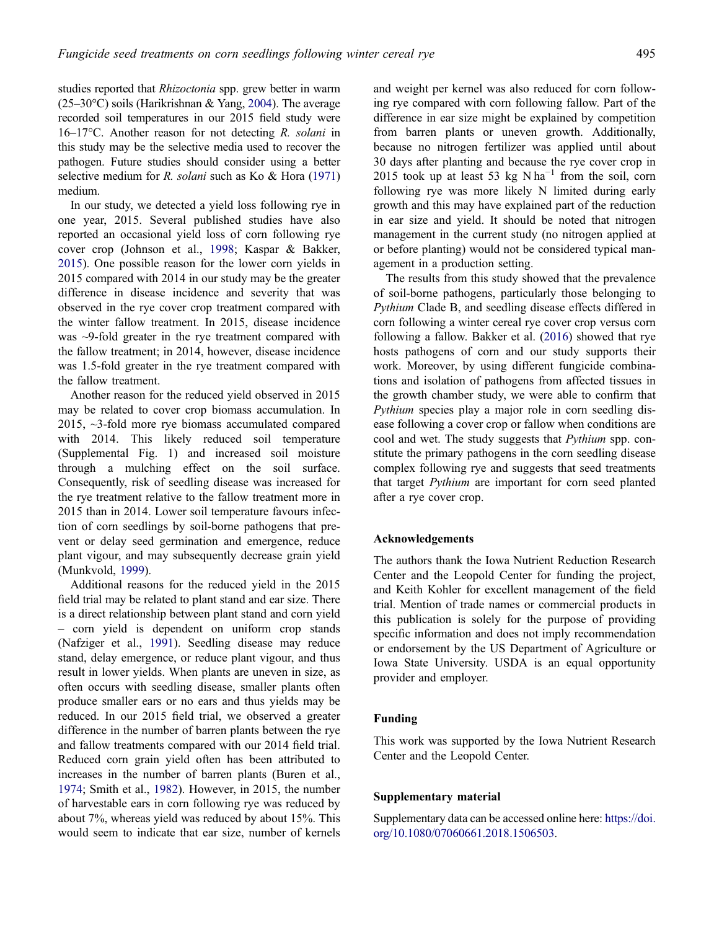studies reported that Rhizoctonia spp. grew better in warm  $(25-30$ °C) soils (Harikrishnan & Yang, [2004](#page-16-0)). The average recorded soil temperatures in our 2015 field study were 16–17°C. Another reason for not detecting  $R$ . solani in this study may be the selective media used to recover the pathogen. Future studies should consider using a better selective medium for R. *solani* such as Ko & Hora ([1971](#page-16-0)) medium.

In our study, we detected a yield loss following rye in one year, 2015. Several published studies have also reported an occasional yield loss of corn following rye cover crop (Johnson et al., [1998;](#page-16-0) Kaspar & Bakker, [2015\)](#page-16-0). One possible reason for the lower corn yields in 2015 compared with 2014 in our study may be the greater difference in disease incidence and severity that was observed in the rye cover crop treatment compared with the winter fallow treatment. In 2015, disease incidence was ~9-fold greater in the rye treatment compared with the fallow treatment; in 2014, however, disease incidence was 1.5-fold greater in the rye treatment compared with the fallow treatment.

Another reason for the reduced yield observed in 2015 may be related to cover crop biomass accumulation. In 2015, ~3-fold more rye biomass accumulated compared with 2014. This likely reduced soil temperature (Supplemental Fig. 1) and increased soil moisture through a mulching effect on the soil surface. Consequently, risk of seedling disease was increased for the rye treatment relative to the fallow treatment more in 2015 than in 2014. Lower soil temperature favours infection of corn seedlings by soil-borne pathogens that prevent or delay seed germination and emergence, reduce plant vigour, and may subsequently decrease grain yield (Munkvold, [1999](#page-16-0)).

Additional reasons for the reduced yield in the 2015 field trial may be related to plant stand and ear size. There is a direct relationship between plant stand and corn yield – corn yield is dependent on uniform crop stands (Nafziger et al., [1991](#page-16-0)). Seedling disease may reduce stand, delay emergence, or reduce plant vigour, and thus result in lower yields. When plants are uneven in size, as often occurs with seedling disease, smaller plants often produce smaller ears or no ears and thus yields may be reduced. In our 2015 field trial, we observed a greater difference in the number of barren plants between the rye and fallow treatments compared with our 2014 field trial. Reduced corn grain yield often has been attributed to increases in the number of barren plants (Buren et al., [1974;](#page-16-0) Smith et al., [1982](#page-17-0)). However, in 2015, the number of harvestable ears in corn following rye was reduced by about 7%, whereas yield was reduced by about 15%. This would seem to indicate that ear size, number of kernels and weight per kernel was also reduced for corn following rye compared with corn following fallow. Part of the difference in ear size might be explained by competition from barren plants or uneven growth. Additionally, because no nitrogen fertilizer was applied until about 30 days after planting and because the rye cover crop in 2015 took up at least 53 kg N ha<sup>-1</sup> from the soil, corn following rye was more likely N limited during early growth and this may have explained part of the reduction in ear size and yield. It should be noted that nitrogen management in the current study (no nitrogen applied at or before planting) would not be considered typical management in a production setting.

The results from this study showed that the prevalence of soil-borne pathogens, particularly those belonging to Pythium Clade B, and seedling disease effects differed in corn following a winter cereal rye cover crop versus corn following a fallow. Bakker et al. [\(2016](#page-16-0)) showed that rye hosts pathogens of corn and our study supports their work. Moreover, by using different fungicide combinations and isolation of pathogens from affected tissues in the growth chamber study, we were able to confirm that Pythium species play a major role in corn seedling disease following a cover crop or fallow when conditions are cool and wet. The study suggests that Pythium spp. constitute the primary pathogens in the corn seedling disease complex following rye and suggests that seed treatments that target Pythium are important for corn seed planted after a rye cover crop.

### Acknowledgements

The authors thank the Iowa Nutrient Reduction Research Center and the Leopold Center for funding the project, and Keith Kohler for excellent management of the field trial. Mention of trade names or commercial products in this publication is solely for the purpose of providing specific information and does not imply recommendation or endorsement by the US Department of Agriculture or Iowa State University. USDA is an equal opportunity provider and employer.

#### Funding

This work was supported by the Iowa Nutrient Research Center and the Leopold Center.

#### Supplementary material

Supplementary data can be accessed online here: [https://doi.](https://doi.org/10.1080/07060661.2018.1506503) [org/10.1080/07060661.2018.1506503](https://doi.org/10.1080/07060661.2018.1506503).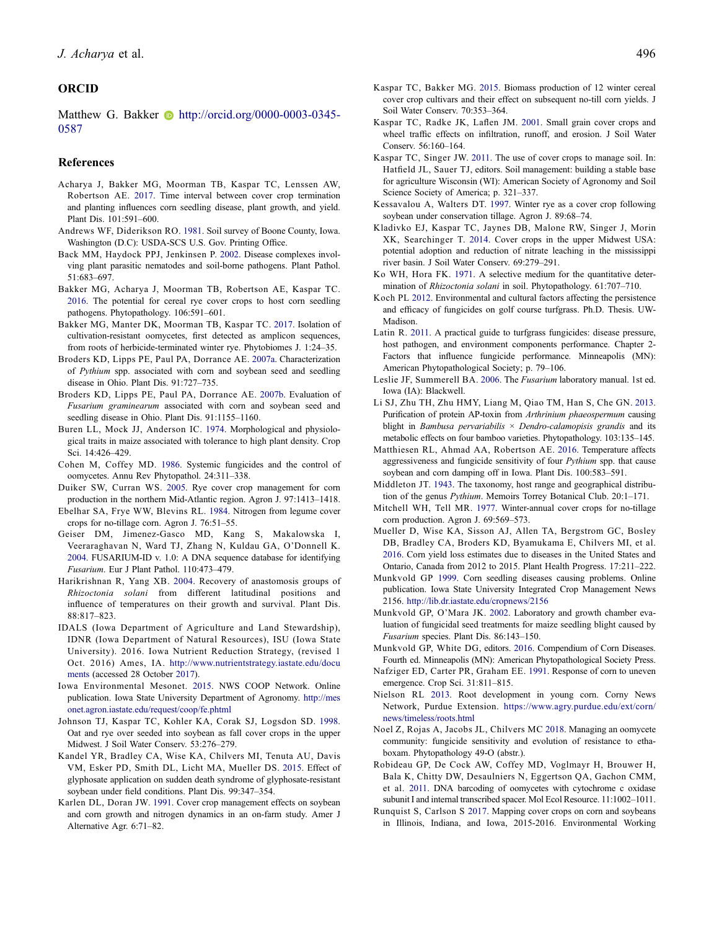# <span id="page-16-0"></span>**ORCID**

Matthew G. Bakker  $\bullet$  http://orcid.org/0000-0003-0345-0587

#### **References**

- Acharya J, Bakker MG, Moorman TB, Kaspar TC, Lenssen AW, Robertson AE. 2017. Time interval between cover crop termination and planting influences corn seedling disease, plant growth, and yield. Plant Dis. 101:591–600.
- Andrews WF, Diderikson RO. 1981. Soil survey of Boone County, Iowa. Washington (D.C): USDA-SCS U.S. Gov. Printing Office.
- Back MM, Haydock PPJ, Jenkinsen P. 2002. Disease complexes involving plant parasitic nematodes and soil-borne pathogens. Plant Pathol. 51:683–697.
- Bakker MG, Acharya J, Moorman TB, Robertson AE, Kaspar TC. 2016. The potential for cereal rye cover crops to host corn seedling pathogens. Phytopathology. 106:591–601.
- Bakker MG, Manter DK, Moorman TB, Kaspar TC. 2017. Isolation of cultivation-resistant oomycetes, first detected as amplicon sequences, from roots of herbicide-terminated winter rye. Phytobiomes J. 1:24–35.
- Broders KD, Lipps PE, Paul PA, Dorrance AE. 2007a. Characterization of Pythium spp. associated with corn and soybean seed and seedling disease in Ohio. Plant Dis. 91:727–735.
- Broders KD, Lipps PE, Paul PA, Dorrance AE. 2007b. Evaluation of Fusarium graminearum associated with corn and soybean seed and seedling disease in Ohio. Plant Dis. 91:1155–1160.
- Buren LL, Mock JJ, Anderson IC. 1974. Morphological and physiological traits in maize associated with tolerance to high plant density. Crop Sci. 14:426–429.
- Cohen M, Coffey MD. 1986. Systemic fungicides and the control of oomycetes. Annu Rev Phytopathol. 24:311–338.
- Duiker SW, Curran WS. 2005. Rye cover crop management for corn production in the northern Mid-Atlantic region. Agron J. 97:1413–1418.
- Ebelhar SA, Frye WW, Blevins RL. 1984. Nitrogen from legume cover crops for no-tillage corn. Agron J. 76:51–55.
- Geiser DM, Jimenez-Gasco MD, Kang S, Makalowska I, Veeraraghavan N, Ward TJ, Zhang N, Kuldau GA, O'Donnell K. 2004. FUSARIUM-ID v. 1.0: A DNA sequence database for identifying Fusarium. Eur J Plant Pathol. 110:473–479.
- Harikrishnan R, Yang XB. 2004. Recovery of anastomosis groups of Rhizoctonia solani from different latitudinal positions and influence of temperatures on their growth and survival. Plant Dis. 88:817–823.
- IDALS (Iowa Department of Agriculture and Land Stewardship), IDNR (Iowa Department of Natural Resources), ISU (Iowa State University). 2016. Iowa Nutrient Reduction Strategy, (revised 1 Oct. 2016) Ames, IA. [http://www.nutrientstrategy.iastate.edu/docu](http://www.nutrientstrategy.iastate.edu/documents) [ments](http://www.nutrientstrategy.iastate.edu/documents) (accessed 28 October 2017).
- Iowa Environmental Mesonet. 2015. NWS COOP Network. Online publication. Iowa State University Department of Agronomy. [http://mes](http://mesonet.agron.iastate.edu/request/coop/fe.phtml) [onet.agron.iastate.edu/request/coop/fe.phtml](http://mesonet.agron.iastate.edu/request/coop/fe.phtml)
- Johnson TJ, Kaspar TC, Kohler KA, Corak SJ, Logsdon SD. 1998. Oat and rye over seeded into soybean as fall cover crops in the upper Midwest. J Soil Water Conserv. 53:276–279.
- Kandel YR, Bradley CA, Wise KA, Chilvers MI, Tenuta AU, Davis VM, Esker PD, Smith DL, Licht MA, Mueller DS. 2015. Effect of glyphosate application on sudden death syndrome of glyphosate-resistant soybean under field conditions. Plant Dis. 99:347–354.
- Karlen DL, Doran JW. 1991. Cover crop management effects on soybean and corn growth and nitrogen dynamics in an on-farm study. Amer J Alternative Agr. 6:71–82.
- Kaspar TC, Bakker MG. 2015. Biomass production of 12 winter cereal cover crop cultivars and their effect on subsequent no-till corn yields. J Soil Water Conserv. 70:353–364.
- Kaspar TC, Radke JK, Laflen JM. 2001. Small grain cover crops and wheel traffic effects on infiltration, runoff, and erosion. J Soil Water Conserv. 56:160–164.
- Kaspar TC, Singer JW. 2011. The use of cover crops to manage soil. In: Hatfield JL, Sauer TJ, editors. Soil management: building a stable base for agriculture Wisconsin (WI): American Society of Agronomy and Soil Science Society of America; p. 321–337.
- Kessavalou A, Walters DT. 1997. Winter rye as a cover crop following soybean under conservation tillage. Agron J. 89:68–74.
- Kladivko EJ, Kaspar TC, Jaynes DB, Malone RW, Singer J, Morin XK, Searchinger T. 2014. Cover crops in the upper Midwest USA: potential adoption and reduction of nitrate leaching in the mississippi river basin. J Soil Water Conserv. 69:279–291.
- Ko WH, Hora FK. 1971. A selective medium for the quantitative determination of Rhizoctonia solani in soil. Phytopathology. 61:707–710.
- Koch PL 2012. Environmental and cultural factors affecting the persistence and efficacy of fungicides on golf course turfgrass. Ph.D. Thesis. UW-Madison.
- Latin R. 2011. A practical guide to turfgrass fungicides: disease pressure, host pathogen, and environment components performance. Chapter 2- Factors that influence fungicide performance. Minneapolis (MN): American Phytopathological Society; p. 79–106.
- Leslie JF, Summerell BA. 2006. The Fusarium laboratory manual. 1st ed. Iowa (IA): Blackwell.
- Li SJ, Zhu TH, Zhu HMY, Liang M, Qiao TM, Han S, Che GN. 2013. Purification of protein AP-toxin from Arthrinium phaeospermum causing blight in Bambusa pervariabilis  $\times$  Dendro-calamopisis grandis and its metabolic effects on four bamboo varieties. Phytopathology. 103:135–145.
- Matthiesen RL, Ahmad AA, Robertson AE. 2016. Temperature affects aggressiveness and fungicide sensitivity of four Pythium spp. that cause soybean and corn damping off in Iowa. Plant Dis. 100:583–591.
- Middleton JT. 1943. The taxonomy, host range and geographical distribution of the genus Pythium. Memoirs Torrey Botanical Club. 20:1–171.
- Mitchell WH, Tell MR. 1977. Winter-annual cover crops for no-tillage corn production. Agron J. 69:569–573.
- Mueller D, Wise KA, Sisson AJ, Allen TA, Bergstrom GC, Bosley DB, Bradley CA, Broders KD, Byamukama E, Chilvers MI, et al. 2016. Corn yield loss estimates due to diseases in the United States and Ontario, Canada from 2012 to 2015. Plant Health Progress. 17:211–222.
- Munkvold GP 1999. Corn seedling diseases causing problems. Online publication. Iowa State University Integrated Crop Management News 2156. <http://lib.dr.iastate.edu/cropnews/2156>
- Munkvold GP, O'Mara JK. 2002. Laboratory and growth chamber evaluation of fungicidal seed treatments for maize seedling blight caused by Fusarium species. Plant Dis. 86:143–150.
- Munkvold GP, White DG, editors. 2016. Compendium of Corn Diseases. Fourth ed. Minneapolis (MN): American Phytopathological Society Press.
- Nafziger ED, Carter PR, Graham EE. 1991. Response of corn to uneven emergence. Crop Sci. 31:811–815.
- Nielson RL 2013. Root development in young corn. Corny News Network, Purdue Extension. [https://www.agry.purdue.edu/ext/corn/](https://www.agry.purdue.edu/ext/corn/news/timeless/roots.html) [news/timeless/roots.html](https://www.agry.purdue.edu/ext/corn/news/timeless/roots.html)
- Noel Z, Rojas A, Jacobs JL, Chilvers MC 2018. Managing an oomycete community: fungicide sensitivity and evolution of resistance to ethaboxam. Phytopathology 49-O (abstr.).
- Robideau GP, De Cock AW, Coffey MD, Voglmayr H, Brouwer H, Bala K, Chitty DW, Desaulniers N, Eggertson QA, Gachon CMM, et al. 2011. DNA barcoding of oomycetes with cytochrome c oxidase subunit I and internal transcribed spacer. Mol Ecol Resource. 11:1002–1011.
- Runquist S, Carlson S 2017. Mapping cover crops on corn and soybeans in Illinois, Indiana, and Iowa, 2015-2016. Environmental Working